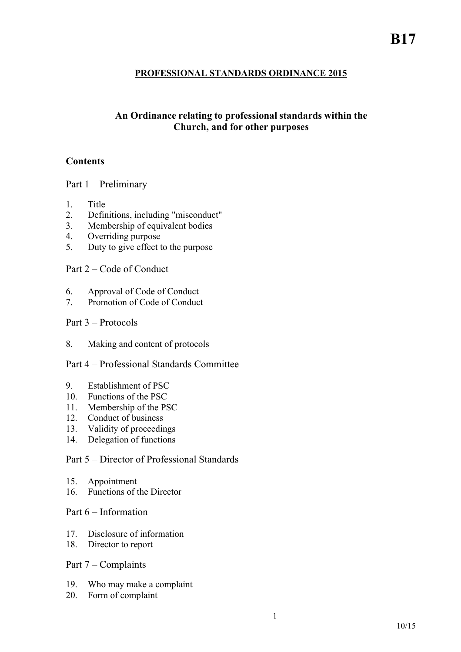## **PROFESSIONAL STANDARDS ORDINANCE 2015**

## **An Ordinance relating to professional standards within the Church, and for other purposes**

## **Contents**

## Part 1 – Preliminary

- 1. Title
- 2. Definitions, including "misconduct"
- 3. Membership of equivalent bodies
- 4. Overriding purpose
- 5. Duty to give effect to the purpose

Part 2 – Code of Conduct

- 6. Approval of Code of Conduct
- 7. Promotion of Code of Conduct

## Part 3 – Protocols

8. Making and content of protocols

## Part 4 – Professional Standards Committee

- 9. Establishment of PSC
- 10. Functions of the PSC
- 11. Membership of the PSC
- 12. Conduct of business
- 13. Validity of proceedings
- 14. Delegation of functions

### Part 5 – Director of Professional Standards

- 15. Appointment
- 16. Functions of the Director

### Part 6 – Information

- 17. Disclosure of information
- 18. Director to report

### Part 7 – Complaints

- 19. Who may make a complaint
- 20. Form of complaint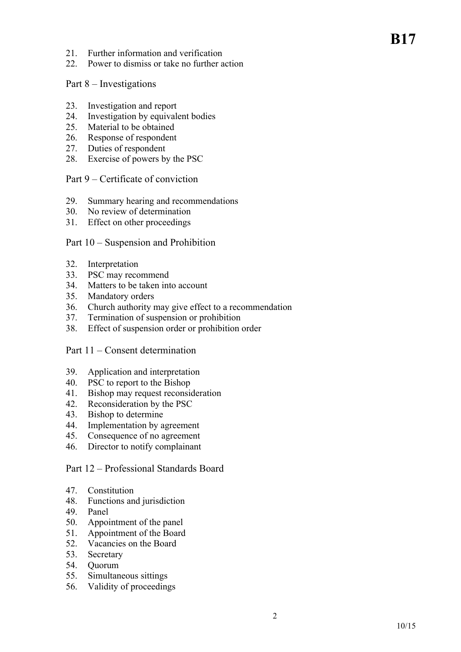- 21. Further information and verification
- 22. Power to dismiss or take no further action
- Part 8 Investigations
- 23. Investigation and report
- 24. Investigation by equivalent bodies
- 25. Material to be obtained
- 26. Response of respondent
- 27. Duties of respondent
- 28. Exercise of powers by the PSC
- Part 9 Certificate of conviction
- 29. Summary hearing and recommendations
- 30. No review of determination
- 31. Effect on other proceedings

## Part 10 – Suspension and Prohibition

- 32. Interpretation
- 33. PSC may recommend
- 34. Matters to be taken into account
- 35. Mandatory orders
- 36. Church authority may give effect to a recommendation
- 37. Termination of suspension or prohibition
- 38. Effect of suspension order or prohibition order

## Part 11 – Consent determination

- 39. Application and interpretation
- 40. PSC to report to the Bishop
- 41. Bishop may request reconsideration
- 42. Reconsideration by the PSC
- 43. Bishop to determine
- 44. Implementation by agreement
- 45. Consequence of no agreement
- 46. Director to notify complainant

### Part 12 – Professional Standards Board

- 47. Constitution
- 48. Functions and jurisdiction
- 49. Panel
- 50. Appointment of the panel
- 51. Appointment of the Board
- 52. Vacancies on the Board
- 53. Secretary
- 54. Quorum
- 55. Simultaneous sittings
- 56. Validity of proceedings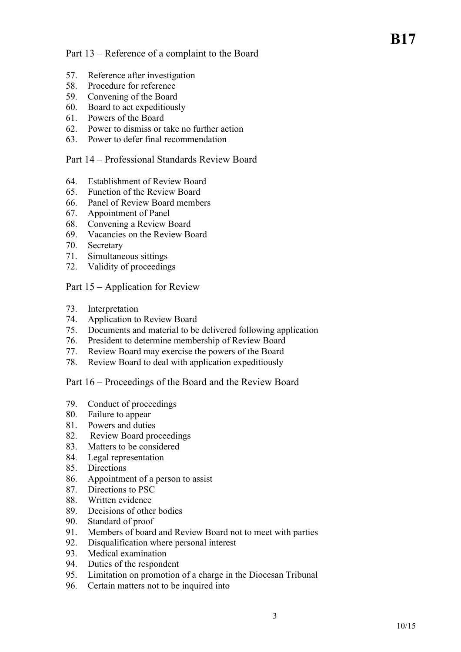## Part 13 – Reference of a complaint to the Board

- 57. Reference after investigation
- 58. Procedure for reference
- 59. Convening of the Board
- 60. Board to act expeditiously
- 61. Powers of the Board
- 62. Power to dismiss or take no further action
- 63. Power to defer final recommendation

## Part 14 – Professional Standards Review Board

- 64. Establishment of Review Board
- 65. Function of the Review Board
- 66. Panel of Review Board members
- 67. Appointment of Panel
- 68. Convening a Review Board
- 69. Vacancies on the Review Board
- 70. Secretary
- 71. Simultaneous sittings
- 72. Validity of proceedings

Part 15 – Application for Review

- 73. Interpretation
- 74. Application to Review Board
- 75. Documents and material to be delivered following application
- 76. President to determine membership of Review Board
- 77. Review Board may exercise the powers of the Board
- 78. Review Board to deal with application expeditiously

Part 16 – Proceedings of the Board and the Review Board

- 79. Conduct of proceedings
- 80. Failure to appear
- 81. Powers and duties
- 82. Review Board proceedings
- 83. Matters to be considered
- 84. Legal representation
- 85. Directions
- 86. Appointment of a person to assist
- 87. Directions to PSC
- 88. Written evidence
- 89. Decisions of other bodies
- 90. Standard of proof
- 91. Members of board and Review Board not to meet with parties
- 92. Disqualification where personal interest
- 93. Medical examination
- 94. Duties of the respondent
- 95. Limitation on promotion of a charge in the Diocesan Tribunal
- 96. Certain matters not to be inquired into

**B17**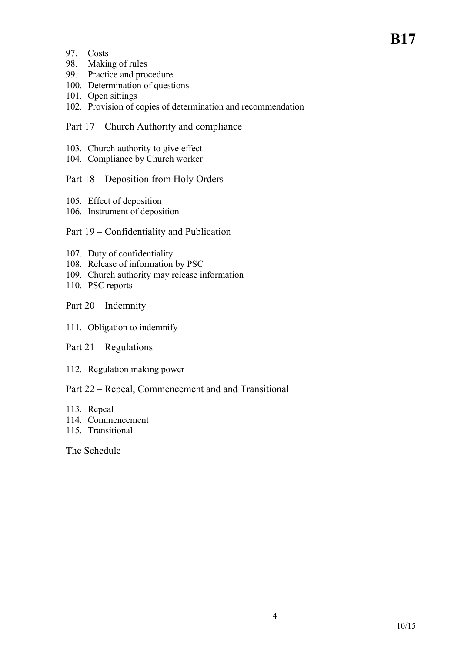**B17**

- 97. Costs
- 98. Making of rules
- 99. Practice and procedure
- 100. Determination of questions
- 101. Open sittings
- 102. Provision of copies of determination and recommendation

Part 17 – Church Authority and compliance

- 103. Church authority to give effect
- 104. Compliance by Church worker

Part 18 – Deposition from Holy Orders

- 105. Effect of deposition
- 106. Instrument of deposition

Part 19 – Confidentiality and Publication

- 107. Duty of confidentiality
- 108. Release of information by PSC
- 109. Church authority may release information
- 110. PSC reports

Part 20 – Indemnity

111. Obligation to indemnify

Part 21 – Regulations

112. Regulation making power

## Part 22 – Repeal, Commencement and and Transitional

- 113. Repeal
- 114. Commencement
- 115. Transitional

The Schedule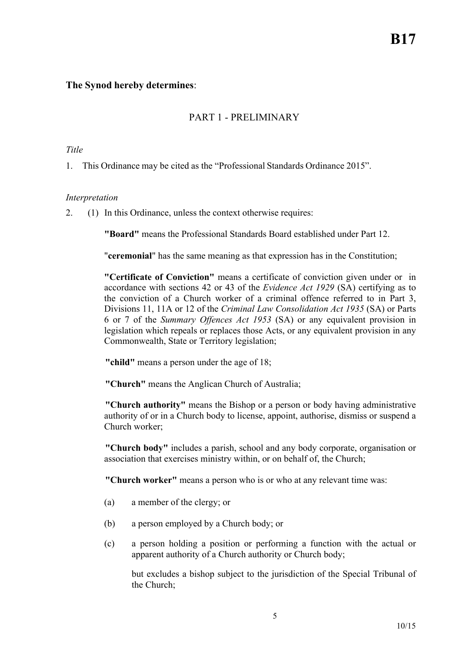## **The Synod hereby determines**:

# PART 1 - PRELIMINARY

### *Title*

1. This Ordinance may be cited as the "Professional Standards Ordinance 2015".

## *Interpretation*

2. (1) In this Ordinance, unless the context otherwise requires:

**"Board"** means the Professional Standards Board established under Part 12.

"**ceremonial**" has the same meaning as that expression has in the Constitution;

**"Certificate of Conviction"** means a certificate of conviction given under or in accordance with sections 42 or 43 of the *Evidence Act 1929* (SA) certifying as to the conviction of a Church worker of a criminal offence referred to in Part 3, Divisions 11, 11A or 12 of the *Criminal Law Consolidation Act 1935* (SA) or Parts 6 or 7 of the *Summary Offences Act 1953* (SA) or any equivalent provision in legislation which repeals or replaces those Acts, or any equivalent provision in any Commonwealth, State or Territory legislation;

**"child"** means a person under the age of 18;

**"Church"** means the Anglican Church of Australia;

**"Church authority"** means the Bishop or a person or body having administrative authority of or in a Church body to license, appoint, authorise, dismiss or suspend a Church worker;

**"Church body"** includes a parish, school and any body corporate, organisation or association that exercises ministry within, or on behalf of, the Church;

**"Church worker"** means a person who is or who at any relevant time was:

- (a) a member of the clergy; or
- (b) a person employed by a Church body; or
- (c) a person holding a position or performing a function with the actual or apparent authority of a Church authority or Church body;

but excludes a bishop subject to the jurisdiction of the Special Tribunal of the Church;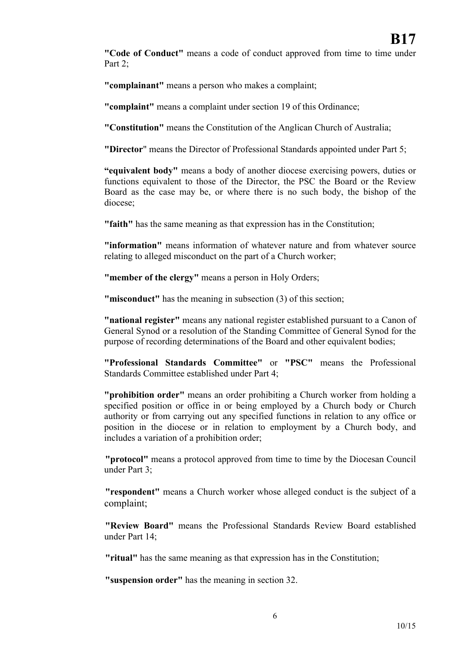**"Code of Conduct"** means a code of conduct approved from time to time under Part 2:

**"complainant"** means a person who makes a complaint;

**"complaint"** means a complaint under section 19 of this Ordinance;

**"Constitution"** means the Constitution of the Anglican Church of Australia;

**"Director**" means the Director of Professional Standards appointed under Part 5;

**"equivalent body"** means a body of another diocese exercising powers, duties or functions equivalent to those of the Director, the PSC the Board or the Review Board as the case may be, or where there is no such body, the bishop of the diocese;

**"faith"** has the same meaning as that expression has in the Constitution;

**"information"** means information of whatever nature and from whatever source relating to alleged misconduct on the part of a Church worker;

**"member of the clergy"** means a person in Holy Orders;

**"misconduct"** has the meaning in subsection (3) of this section;

**"national register"** means any national register established pursuant to a Canon of General Synod or a resolution of the Standing Committee of General Synod for the purpose of recording determinations of the Board and other equivalent bodies;

**"Professional Standards Committee"** or **"PSC"** means the Professional Standards Committee established under Part 4;

**"prohibition order"** means an order prohibiting a Church worker from holding a specified position or office in or being employed by a Church body or Church authority or from carrying out any specified functions in relation to any office or position in the diocese or in relation to employment by a Church body, and includes a variation of a prohibition order;

**"protocol"** means a protocol approved from time to time by the Diocesan Council under Part 3;

**"respondent"** means a Church worker whose alleged conduct is the subject of a complaint;

**"Review Board"** means the Professional Standards Review Board established under Part 14;

**"ritual"** has the same meaning as that expression has in the Constitution;

**"suspension order"** has the meaning in section 32.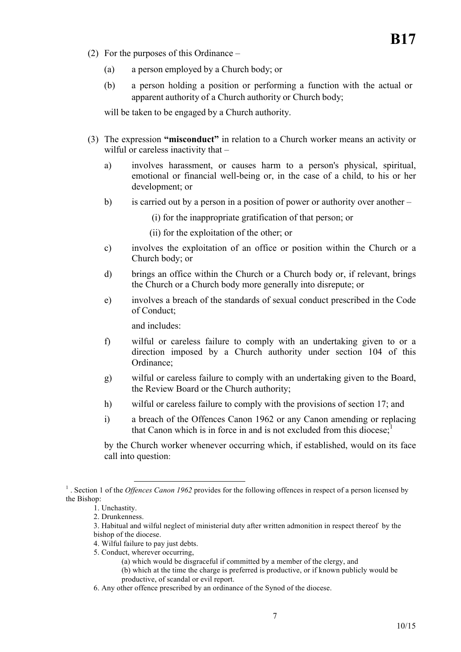- (2) For the purposes of this Ordinance
	- (a) a person employed by a Church body; or
	- (b) a person holding a position or performing a function with the actual or apparent authority of a Church authority or Church body;

will be taken to be engaged by a Church authority.

- (3) The expression **"misconduct"** in relation to a Church worker means an activity or wilful or careless inactivity that –
	- a) involves harassment, or causes harm to a person's physical, spiritual, emotional or financial well-being or, in the case of a child, to his or her development; or
	- b) is carried out by a person in a position of power or authority over another –

(i) for the inappropriate gratification of that person; or

(ii) for the exploitation of the other; or

- c) involves the exploitation of an office or position within the Church or a Church body; or
- d) brings an office within the Church or a Church body or, if relevant, brings the Church or a Church body more generally into disrepute; or
- e) involves a breach of the standards of sexual conduct prescribed in the Code of Conduct;

and includes:

- f) wilful or careless failure to comply with an undertaking given to or a direction imposed by a Church authority under section 104 of this Ordinance;
- g) wilful or careless failure to comply with an undertaking given to the Board, the Review Board or the Church authority;
- h) wilful or careless failure to comply with the provisions of section 17; and
- i) a breach of the Offences Canon 1962 or any Canon amending or replacing that Canon which is in force in and is not excluded from this diocese:

by the Church worker whenever occurring which, if established, would on its face call into question:

- 5. Conduct, wherever occurring,
	- (a) which would be disgraceful if committed by a member of the clergy, and
	- (b) which at the time the charge is preferred is productive, or if known publicly would be productive, of scandal or evil report.

**B17**

<sup>&</sup>lt;sup>1</sup>. Section 1 of the *Offences Canon 1962* provides for the following offences in respect of a person licensed by the Bishop:

<sup>1.</sup> Unchastity.

<sup>2.</sup> Drunkenness.

<sup>3.</sup> Habitual and wilful neglect of ministerial duty after written admonition in respect thereof by the bishop of the diocese.

<sup>4.</sup> Wilful failure to pay just debts.

<sup>6.</sup> Any other offence prescribed by an ordinance of the Synod of the diocese.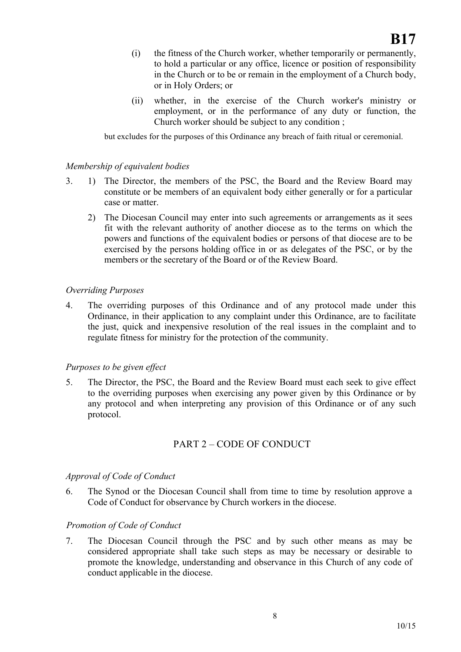- (i) the fitness of the Church worker, whether temporarily or permanently, to hold a particular or any office, licence or position of responsibility in the Church or to be or remain in the employment of a Church body, or in Holy Orders; or
- (ii) whether, in the exercise of the Church worker's ministry or employment, or in the performance of any duty or function, the Church worker should be subject to any condition ;

but excludes for the purposes of this Ordinance any breach of faith ritual or ceremonial.

## *Membership of equivalent bodies*

- 3. 1) The Director, the members of the PSC, the Board and the Review Board may constitute or be members of an equivalent body either generally or for a particular case or matter.
	- 2) The Diocesan Council may enter into such agreements or arrangements as it sees fit with the relevant authority of another diocese as to the terms on which the powers and functions of the equivalent bodies or persons of that diocese are to be exercised by the persons holding office in or as delegates of the PSC, or by the members or the secretary of the Board or of the Review Board.

## *Overriding Purposes*

4. The overriding purposes of this Ordinance and of any protocol made under this Ordinance, in their application to any complaint under this Ordinance, are to facilitate the just, quick and inexpensive resolution of the real issues in the complaint and to regulate fitness for ministry for the protection of the community.

## *Purposes to be given effect*

5. The Director, the PSC, the Board and the Review Board must each seek to give effect to the overriding purposes when exercising any power given by this Ordinance or by any protocol and when interpreting any provision of this Ordinance or of any such protocol.

# PART 2 – CODE OF CONDUCT

### *Approval of Code of Conduct*

6. The Synod or the Diocesan Council shall from time to time by resolution approve a Code of Conduct for observance by Church workers in the diocese.

## *Promotion of Code of Conduct*

7. The Diocesan Council through the PSC and by such other means as may be considered appropriate shall take such steps as may be necessary or desirable to promote the knowledge, understanding and observance in this Church of any code of conduct applicable in the diocese.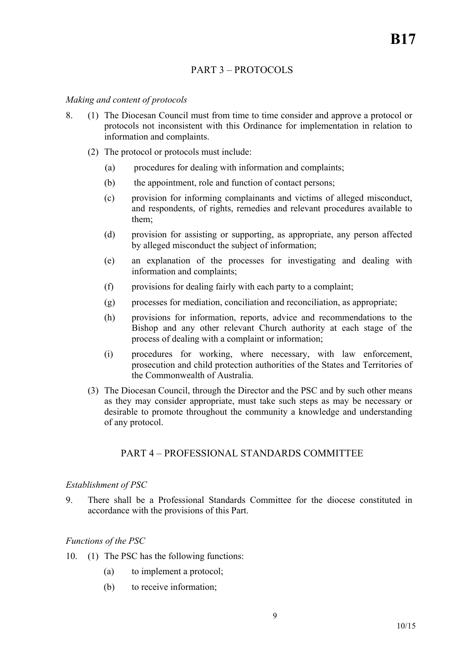# PART 3 – PROTOCOLS

## *Making and content of protocols*

- 8. (1) The Diocesan Council must from time to time consider and approve a protocol or protocols not inconsistent with this Ordinance for implementation in relation to information and complaints.
	- (2) The protocol or protocols must include:
		- (a) procedures for dealing with information and complaints;
		- (b) the appointment, role and function of contact persons;
		- (c) provision for informing complainants and victims of alleged misconduct, and respondents, of rights, remedies and relevant procedures available to them;
		- (d) provision for assisting or supporting, as appropriate, any person affected by alleged misconduct the subject of information;
		- (e) an explanation of the processes for investigating and dealing with information and complaints;
		- (f) provisions for dealing fairly with each party to a complaint;
		- (g) processes for mediation, conciliation and reconciliation, as appropriate;
		- (h) provisions for information, reports, advice and recommendations to the Bishop and any other relevant Church authority at each stage of the process of dealing with a complaint or information;
		- (i) procedures for working, where necessary, with law enforcement, prosecution and child protection authorities of the States and Territories of the Commonwealth of Australia.
	- (3) The Diocesan Council, through the Director and the PSC and by such other means as they may consider appropriate, must take such steps as may be necessary or desirable to promote throughout the community a knowledge and understanding of any protocol.

# PART 4 – PROFESSIONAL STANDARDS COMMITTEE

## *Establishment of PSC*

9. There shall be a Professional Standards Committee for the diocese constituted in accordance with the provisions of this Part.

## *Functions of the PSC*

- 10. (1) The PSC has the following functions:
	- (a) to implement a protocol;
	- (b) to receive information;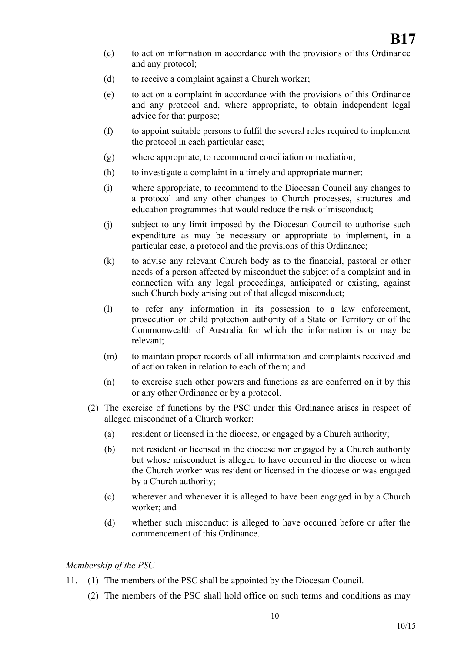- (c) to act on information in accordance with the provisions of this Ordinance and any protocol;
- (d) to receive a complaint against a Church worker;
- (e) to act on a complaint in accordance with the provisions of this Ordinance and any protocol and, where appropriate, to obtain independent legal advice for that purpose;
- (f) to appoint suitable persons to fulfil the several roles required to implement the protocol in each particular case;
- (g) where appropriate, to recommend conciliation or mediation;
- (h) to investigate a complaint in a timely and appropriate manner;
- (i) where appropriate, to recommend to the Diocesan Council any changes to a protocol and any other changes to Church processes, structures and education programmes that would reduce the risk of misconduct;
- (j) subject to any limit imposed by the Diocesan Council to authorise such expenditure as may be necessary or appropriate to implement, in a particular case, a protocol and the provisions of this Ordinance;
- (k) to advise any relevant Church body as to the financial, pastoral or other needs of a person affected by misconduct the subject of a complaint and in connection with any legal proceedings, anticipated or existing, against such Church body arising out of that alleged misconduct;
- (l) to refer any information in its possession to a law enforcement, prosecution or child protection authority of a State or Territory or of the Commonwealth of Australia for which the information is or may be relevant;
- (m) to maintain proper records of all information and complaints received and of action taken in relation to each of them; and
- (n) to exercise such other powers and functions as are conferred on it by this or any other Ordinance or by a protocol.
- (2) The exercise of functions by the PSC under this Ordinance arises in respect of alleged misconduct of a Church worker:
	- (a) resident or licensed in the diocese, or engaged by a Church authority;
	- (b) not resident or licensed in the diocese nor engaged by a Church authority but whose misconduct is alleged to have occurred in the diocese or when the Church worker was resident or licensed in the diocese or was engaged by a Church authority;
	- (c) wherever and whenever it is alleged to have been engaged in by a Church worker; and
	- (d) whether such misconduct is alleged to have occurred before or after the commencement of this Ordinance.

## *Membership of the PSC*

- 11. (1) The members of the PSC shall be appointed by the Diocesan Council.
	- (2) The members of the PSC shall hold office on such terms and conditions as may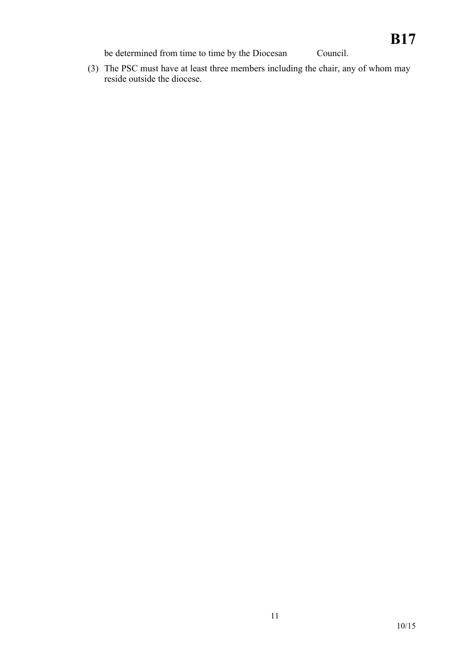be determined from time to time by the Diocesan Council.

(3) The PSC must have at least three members including the chair, any of whom may reside outside the diocese.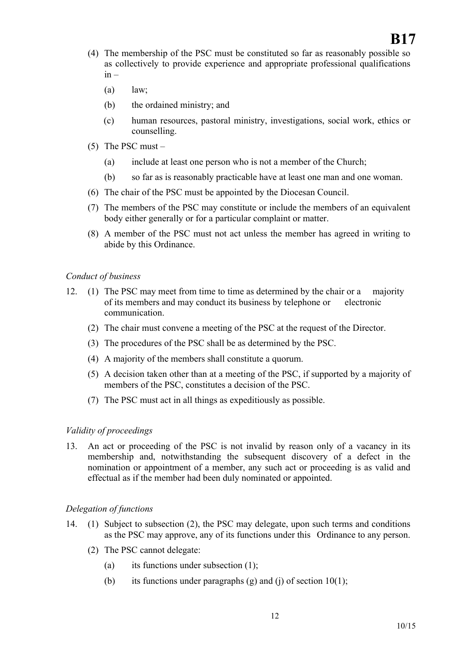# **B17**

- (4) The membership of the PSC must be constituted so far as reasonably possible so as collectively to provide experience and appropriate professional qualifications in –
	- (a) law;
	- (b) the ordained ministry; and
	- (c) human resources, pastoral ministry, investigations, social work, ethics or counselling.
- (5) The PSC must
	- (a) include at least one person who is not a member of the Church;
	- (b) so far as is reasonably practicable have at least one man and one woman.
- (6) The chair of the PSC must be appointed by the Diocesan Council.
- (7) The members of the PSC may constitute or include the members of an equivalent body either generally or for a particular complaint or matter.
- (8) A member of the PSC must not act unless the member has agreed in writing to abide by this Ordinance.

## *Conduct of business*

- 12. (1) The PSC may meet from time to time as determined by the chair or a majority of its members and may conduct its business by telephone or electronic communication.
	- (2) The chair must convene a meeting of the PSC at the request of the Director.
	- (3) The procedures of the PSC shall be as determined by the PSC.
	- (4) A majority of the members shall constitute a quorum.
	- (5) A decision taken other than at a meeting of the PSC, if supported by a majority of members of the PSC, constitutes a decision of the PSC.
	- (7) The PSC must act in all things as expeditiously as possible.

### *Validity of proceedings*

13. An act or proceeding of the PSC is not invalid by reason only of a vacancy in its membership and, notwithstanding the subsequent discovery of a defect in the nomination or appointment of a member, any such act or proceeding is as valid and effectual as if the member had been duly nominated or appointed.

### *Delegation of functions*

- 14. (1) Subject to subsection (2), the PSC may delegate, upon such terms and conditions as the PSC may approve, any of its functions under this Ordinance to any person.
	- (2) The PSC cannot delegate:
		- (a) its functions under subsection (1);
		- (b) its functions under paragraphs (g) and (j) of section  $10(1)$ ;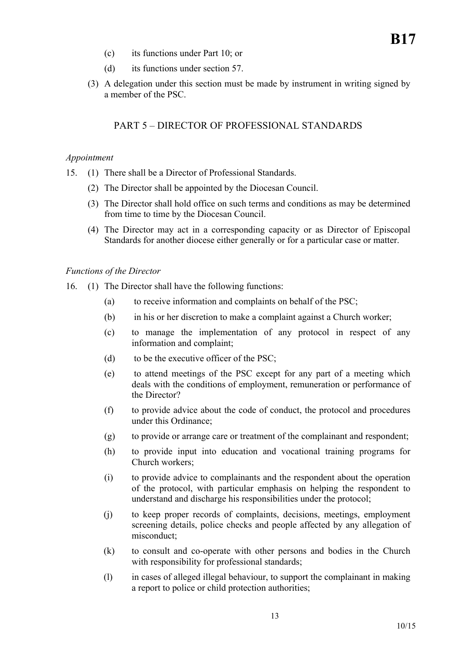- (c) its functions under Part 10; or
- (d) its functions under section 57.
- (3) A delegation under this section must be made by instrument in writing signed by a member of the PSC.

# PART 5 – DIRECTOR OF PROFESSIONAL STANDARDS

## *Appointment*

- 15. (1) There shall be a Director of Professional Standards.
	- (2) The Director shall be appointed by the Diocesan Council.
	- (3) The Director shall hold office on such terms and conditions as may be determined from time to time by the Diocesan Council.
	- (4) The Director may act in a corresponding capacity or as Director of Episcopal Standards for another diocese either generally or for a particular case or matter.

## *Functions of the Director*

- 16. (1) The Director shall have the following functions:
	- (a) to receive information and complaints on behalf of the PSC;
	- (b) in his or her discretion to make a complaint against a Church worker;
	- (c) to manage the implementation of any protocol in respect of any information and complaint;
	- (d) to be the executive officer of the PSC;
	- (e) to attend meetings of the PSC except for any part of a meeting which deals with the conditions of employment, remuneration or performance of the Director?
	- (f) to provide advice about the code of conduct, the protocol and procedures under this Ordinance;
	- (g) to provide or arrange care or treatment of the complainant and respondent;
	- (h) to provide input into education and vocational training programs for Church workers;
	- (i) to provide advice to complainants and the respondent about the operation of the protocol, with particular emphasis on helping the respondent to understand and discharge his responsibilities under the protocol;
	- (j) to keep proper records of complaints, decisions, meetings, employment screening details, police checks and people affected by any allegation of misconduct;
	- (k) to consult and co-operate with other persons and bodies in the Church with responsibility for professional standards;
	- (l) in cases of alleged illegal behaviour, to support the complainant in making a report to police or child protection authorities;

13

**B17**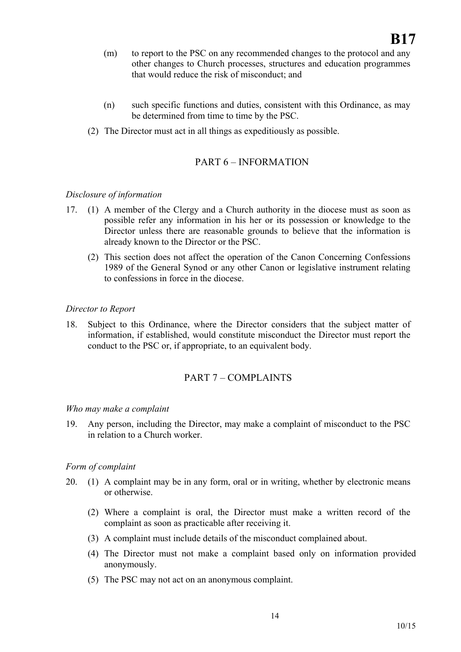- (m) to report to the PSC on any recommended changes to the protocol and any other changes to Church processes, structures and education programmes that would reduce the risk of misconduct; and
- (n) such specific functions and duties, consistent with this Ordinance, as may be determined from time to time by the PSC.
- (2) The Director must act in all things as expeditiously as possible.

## PART 6 – INFORMATION

### *Disclosure of information*

- 17. (1) A member of the Clergy and a Church authority in the diocese must as soon as possible refer any information in his her or its possession or knowledge to the Director unless there are reasonable grounds to believe that the information is already known to the Director or the PSC.
	- (2) This section does not affect the operation of the Canon Concerning Confessions 1989 of the General Synod or any other Canon or legislative instrument relating to confessions in force in the diocese.

### *Director to Report*

18. Subject to this Ordinance, where the Director considers that the subject matter of information, if established, would constitute misconduct the Director must report the conduct to the PSC or, if appropriate, to an equivalent body.

## PART 7 – COMPLAINTS

### *Who may make a complaint*

19. Any person, including the Director, may make a complaint of misconduct to the PSC in relation to a Church worker.

### *Form of complaint*

- 20. (1) A complaint may be in any form, oral or in writing, whether by electronic means or otherwise.
	- (2) Where a complaint is oral, the Director must make a written record of the complaint as soon as practicable after receiving it.
	- (3) A complaint must include details of the misconduct complained about.
	- (4) The Director must not make a complaint based only on information provided anonymously.
	- (5) The PSC may not act on an anonymous complaint.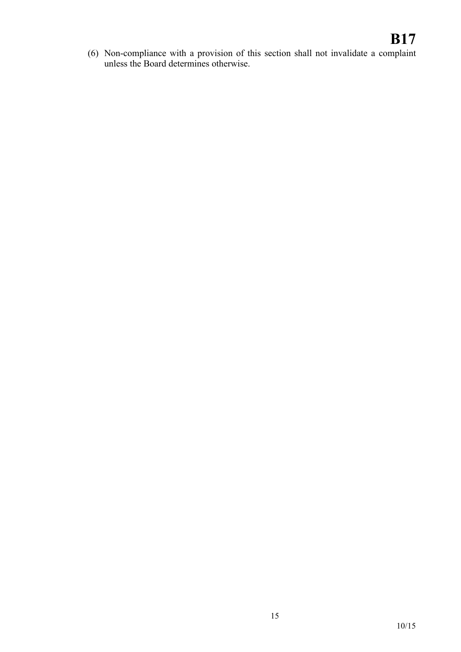(6) Non-compliance with a provision of this section shall not invalidate a complaint unless the Board determines otherwise.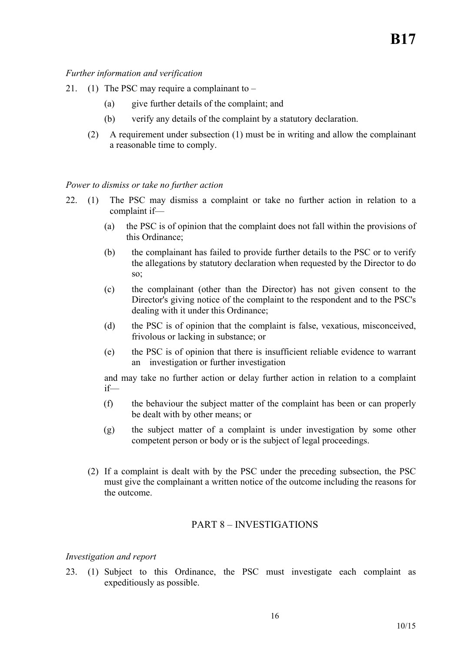### *Further information and verification*

- 21. (1) The PSC may require a complainant to  $-$ 
	- (a) give further details of the complaint; and
	- (b) verify any details of the complaint by a statutory declaration.
	- (2) A requirement under subsection (1) must be in writing and allow the complainant a reasonable time to comply.

#### *Power to dismiss or take no further action*

- 22. (1) The PSC may dismiss a complaint or take no further action in relation to a complaint if—
	- (a) the PSC is of opinion that the complaint does not fall within the provisions of this Ordinance;
	- (b) the complainant has failed to provide further details to the PSC or to verify the allegations by statutory declaration when requested by the Director to do so;
	- (c) the complainant (other than the Director) has not given consent to the Director's giving notice of the complaint to the respondent and to the PSC's dealing with it under this Ordinance;
	- (d) the PSC is of opinion that the complaint is false, vexatious, misconceived, frivolous or lacking in substance; or
	- (e) the PSC is of opinion that there is insufficient reliable evidence to warrant an investigation or further investigation

and may take no further action or delay further action in relation to a complaint if—

- (f) the behaviour the subject matter of the complaint has been or can properly be dealt with by other means; or
- (g) the subject matter of a complaint is under investigation by some other competent person or body or is the subject of legal proceedings.
- (2) If a complaint is dealt with by the PSC under the preceding subsection, the PSC must give the complainant a written notice of the outcome including the reasons for the outcome.

## PART 8 – INVESTIGATIONS

#### *Investigation and report*

23. (1) Subject to this Ordinance, the PSC must investigate each complaint as expeditiously as possible.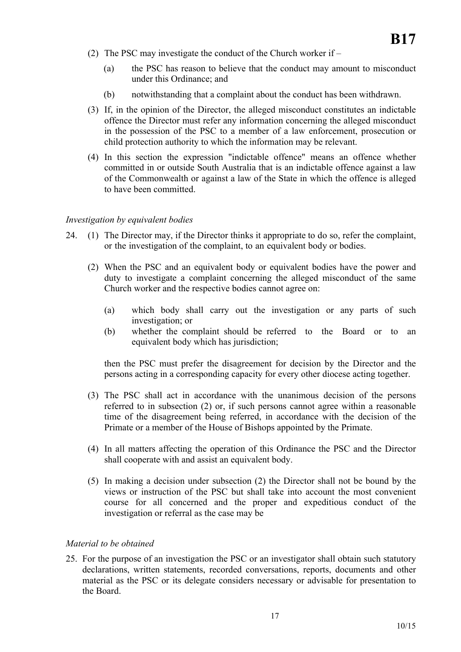- (2) The PSC may investigate the conduct of the Church worker if
	- (a) the PSC has reason to believe that the conduct may amount to misconduct under this Ordinance; and
	- (b) notwithstanding that a complaint about the conduct has been withdrawn.
- (3) If, in the opinion of the Director, the alleged misconduct constitutes an indictable offence the Director must refer any information concerning the alleged misconduct in the possession of the PSC to a member of a law enforcement, prosecution or child protection authority to which the information may be relevant.
- (4) In this section the expression "indictable offence" means an offence whether committed in or outside South Australia that is an indictable offence against a law of the Commonwealth or against a law of the State in which the offence is alleged to have been committed.

## *Investigation by equivalent bodies*

- 24. (1) The Director may, if the Director thinks it appropriate to do so, refer the complaint, or the investigation of the complaint, to an equivalent body or bodies.
	- (2) When the PSC and an equivalent body or equivalent bodies have the power and duty to investigate a complaint concerning the alleged misconduct of the same Church worker and the respective bodies cannot agree on:
		- (a) which body shall carry out the investigation or any parts of such investigation; or
		- (b) whether the complaint should be referred to the Board or to an equivalent body which has jurisdiction;

then the PSC must prefer the disagreement for decision by the Director and the persons acting in a corresponding capacity for every other diocese acting together.

- (3) The PSC shall act in accordance with the unanimous decision of the persons referred to in subsection (2) or, if such persons cannot agree within a reasonable time of the disagreement being referred, in accordance with the decision of the Primate or a member of the House of Bishops appointed by the Primate.
- (4) In all matters affecting the operation of this Ordinance the PSC and the Director shall cooperate with and assist an equivalent body.
- (5) In making a decision under subsection (2) the Director shall not be bound by the views or instruction of the PSC but shall take into account the most convenient course for all concerned and the proper and expeditious conduct of the investigation or referral as the case may be

### *Material to be obtained*

25. For the purpose of an investigation the PSC or an investigator shall obtain such statutory declarations, written statements, recorded conversations, reports, documents and other material as the PSC or its delegate considers necessary or advisable for presentation to the Board.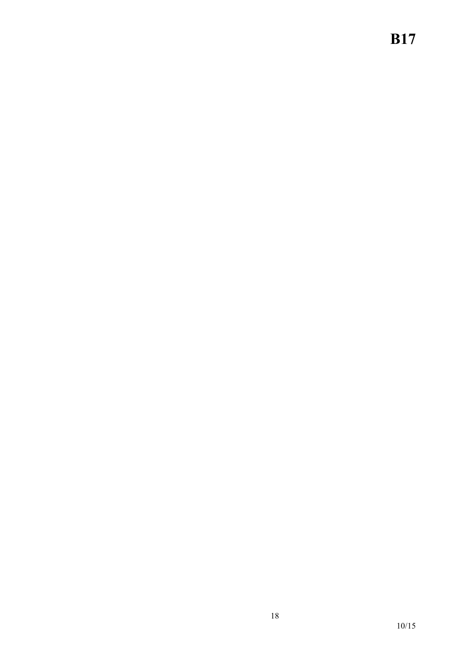**B17**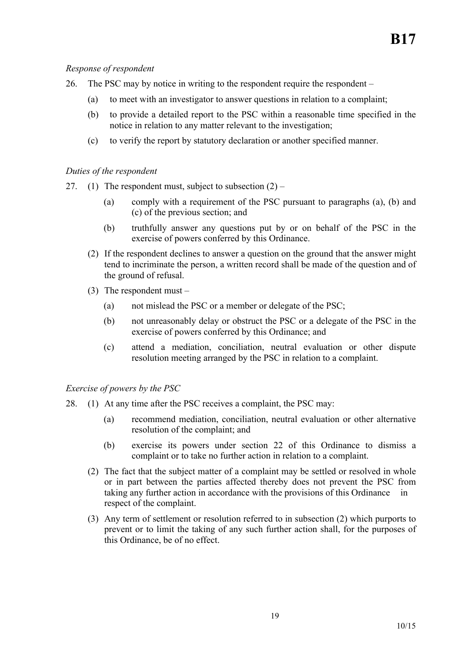## *Response of respondent*

- 26. The PSC may by notice in writing to the respondent require the respondent
	- (a) to meet with an investigator to answer questions in relation to a complaint;
	- (b) to provide a detailed report to the PSC within a reasonable time specified in the notice in relation to any matter relevant to the investigation;
	- (c) to verify the report by statutory declaration or another specified manner.

## *Duties of the respondent*

- 27. (1) The respondent must, subject to subsection  $(2)$ 
	- (a) comply with a requirement of the PSC pursuant to paragraphs (a), (b) and (c) of the previous section; and
	- (b) truthfully answer any questions put by or on behalf of the PSC in the exercise of powers conferred by this Ordinance.
	- (2) If the respondent declines to answer a question on the ground that the answer might tend to incriminate the person, a written record shall be made of the question and of the ground of refusal.
	- (3) The respondent must
		- (a) not mislead the PSC or a member or delegate of the PSC;
		- (b) not unreasonably delay or obstruct the PSC or a delegate of the PSC in the exercise of powers conferred by this Ordinance; and
		- (c) attend a mediation, conciliation, neutral evaluation or other dispute resolution meeting arranged by the PSC in relation to a complaint.

## *Exercise of powers by the PSC*

- 28. (1) At any time after the PSC receives a complaint, the PSC may:
	- (a) recommend mediation, conciliation, neutral evaluation or other alternative resolution of the complaint; and
	- (b) exercise its powers under section 22 of this Ordinance to dismiss a complaint or to take no further action in relation to a complaint.
	- (2) The fact that the subject matter of a complaint may be settled or resolved in whole or in part between the parties affected thereby does not prevent the PSC from taking any further action in accordance with the provisions of this Ordinance in respect of the complaint.
	- (3) Any term of settlement or resolution referred to in subsection (2) which purports to prevent or to limit the taking of any such further action shall, for the purposes of this Ordinance, be of no effect.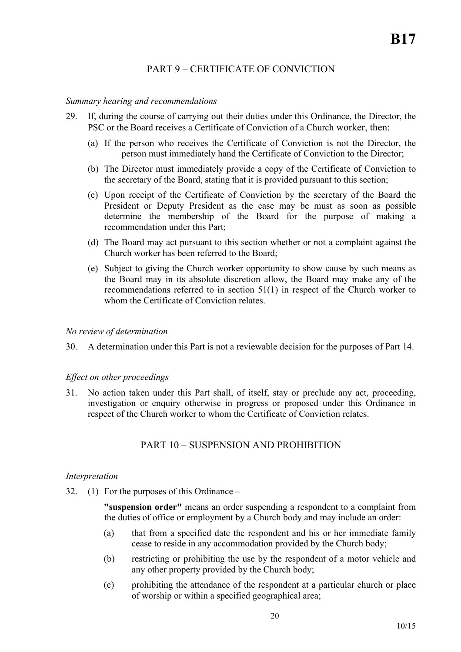# PART 9 – CERTIFICATE OF CONVICTION

## *Summary hearing and recommendations*

- 29. If, during the course of carrying out their duties under this Ordinance, the Director, the PSC or the Board receives a Certificate of Conviction of a Church worker, then:
	- (a) If the person who receives the Certificate of Conviction is not the Director, the person must immediately hand the Certificate of Conviction to the Director;
	- (b) The Director must immediately provide a copy of the Certificate of Conviction to the secretary of the Board, stating that it is provided pursuant to this section;
	- (c) Upon receipt of the Certificate of Conviction by the secretary of the Board the President or Deputy President as the case may be must as soon as possible determine the membership of the Board for the purpose of making a recommendation under this Part;
	- (d) The Board may act pursuant to this section whether or not a complaint against the Church worker has been referred to the Board;
	- (e) Subject to giving the Church worker opportunity to show cause by such means as the Board may in its absolute discretion allow, the Board may make any of the recommendations referred to in section 51(1) in respect of the Church worker to whom the Certificate of Conviction relates.

### *No review of determination*

30. A determination under this Part is not a reviewable decision for the purposes of Part 14.

## *Effect on other proceedings*

31. No action taken under this Part shall, of itself, stay or preclude any act, proceeding, investigation or enquiry otherwise in progress or proposed under this Ordinance in respect of the Church worker to whom the Certificate of Conviction relates.

# PART 10 – SUSPENSION AND PROHIBITION

## *Interpretation*

32. (1) For the purposes of this Ordinance –

**"suspension order"** means an order suspending a respondent to a complaint from the duties of office or employment by a Church body and may include an order:

- (a) that from a specified date the respondent and his or her immediate family cease to reside in any accommodation provided by the Church body;
- (b) restricting or prohibiting the use by the respondent of a motor vehicle and any other property provided by the Church body;
- (c) prohibiting the attendance of the respondent at a particular church or place of worship or within a specified geographical area;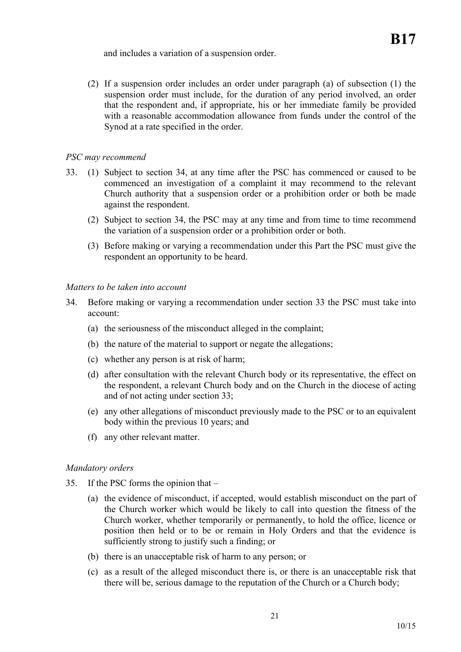(2) If a suspension order includes an order under paragraph (a) of subsection (1) the suspension order must include, for the duration of any period involved, an order that the respondent and, if appropriate, his or her immediate family be provided with a reasonable accommodation allowance from funds under the control of the Synod at a rate specified in the order.

## *PSC may recommend*

- 33. (1) Subject to section 34, at any time after the PSC has commenced or caused to be commenced an investigation of a complaint it may recommend to the relevant Church authority that a suspension order or a prohibition order or both be made against the respondent.
	- (2) Subject to section 34, the PSC may at any time and from time to time recommend the variation of a suspension order or a prohibition order or both.
	- (3) Before making or varying a recommendation under this Part the PSC must give the respondent an opportunity to be heard.

## *Matters to be taken into account*

- 34. Before making or varying a recommendation under section 33 the PSC must take into account:
	- (a) the seriousness of the misconduct alleged in the complaint;
	- (b) the nature of the material to support or negate the allegations;
	- (c) whether any person is at risk of harm;
	- (d) after consultation with the relevant Church body or its representative, the effect on the respondent, a relevant Church body and on the Church in the diocese of acting and of not acting under section 33;
	- (e) any other allegations of misconduct previously made to the PSC or to an equivalent body within the previous 10 years; and
	- (f) any other relevant matter.

## *Mandatory orders*

- 35. If the PSC forms the opinion that
	- (a) the evidence of misconduct, if accepted, would establish misconduct on the part of the Church worker which would be likely to call into question the fitness of the Church worker, whether temporarily or permanently, to hold the office, licence or position then held or to be or remain in Holy Orders and that the evidence is sufficiently strong to justify such a finding; or
	- (b) there is an unacceptable risk of harm to any person; or
	- (c) as a result of the alleged misconduct there is, or there is an unacceptable risk that there will be, serious damage to the reputation of the Church or a Church body;

**B17**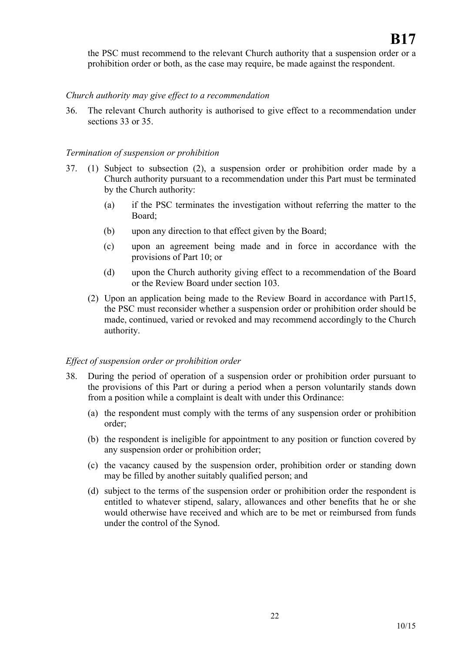the PSC must recommend to the relevant Church authority that a suspension order or a prohibition order or both, as the case may require, be made against the respondent.

### *Church authority may give effect to a recommendation*

36. The relevant Church authority is authorised to give effect to a recommendation under sections 33 or 35.

#### *Termination of suspension or prohibition*

- 37. (1) Subject to subsection (2), a suspension order or prohibition order made by a Church authority pursuant to a recommendation under this Part must be terminated by the Church authority:
	- (a) if the PSC terminates the investigation without referring the matter to the Board;
	- (b) upon any direction to that effect given by the Board;
	- (c) upon an agreement being made and in force in accordance with the provisions of Part 10; or
	- (d) upon the Church authority giving effect to a recommendation of the Board or the Review Board under section 103.
	- (2) Upon an application being made to the Review Board in accordance with Part15, the PSC must reconsider whether a suspension order or prohibition order should be made, continued, varied or revoked and may recommend accordingly to the Church authority.

#### *Effect of suspension order or prohibition order*

- 38. During the period of operation of a suspension order or prohibition order pursuant to the provisions of this Part or during a period when a person voluntarily stands down from a position while a complaint is dealt with under this Ordinance:
	- (a) the respondent must comply with the terms of any suspension order or prohibition order;
	- (b) the respondent is ineligible for appointment to any position or function covered by any suspension order or prohibition order;
	- (c) the vacancy caused by the suspension order, prohibition order or standing down may be filled by another suitably qualified person; and
	- (d) subject to the terms of the suspension order or prohibition order the respondent is entitled to whatever stipend, salary, allowances and other benefits that he or she would otherwise have received and which are to be met or reimbursed from funds under the control of the Synod.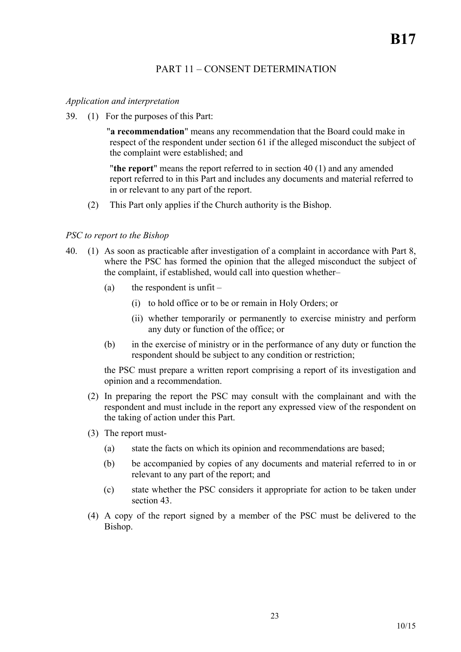# PART 11 – CONSENT DETERMINATION

### *Application and interpretation*

39. (1) For the purposes of this Part:

"**a recommendation**" means any recommendation that the Board could make in respect of the respondent under section 61 if the alleged misconduct the subject of the complaint were established; and

"**the report**" means the report referred to in section 40 (1) and any amended report referred to in this Part and includes any documents and material referred to in or relevant to any part of the report.

(2) This Part only applies if the Church authority is the Bishop.

### *PSC to report to the Bishop*

- 40. (1) As soon as practicable after investigation of a complaint in accordance with Part 8, where the PSC has formed the opinion that the alleged misconduct the subject of the complaint, if established, would call into question whether–
	- (a) the respondent is unfit  $-$ 
		- (i) to hold office or to be or remain in Holy Orders; or
		- (ii) whether temporarily or permanently to exercise ministry and perform any duty or function of the office; or
	- (b) in the exercise of ministry or in the performance of any duty or function the respondent should be subject to any condition or restriction;

the PSC must prepare a written report comprising a report of its investigation and opinion and a recommendation.

- (2) In preparing the report the PSC may consult with the complainant and with the respondent and must include in the report any expressed view of the respondent on the taking of action under this Part.
- (3) The report must-
	- (a) state the facts on which its opinion and recommendations are based;
	- (b) be accompanied by copies of any documents and material referred to in or relevant to any part of the report; and
	- (c) state whether the PSC considers it appropriate for action to be taken under section 43.
- (4) A copy of the report signed by a member of the PSC must be delivered to the Bishop.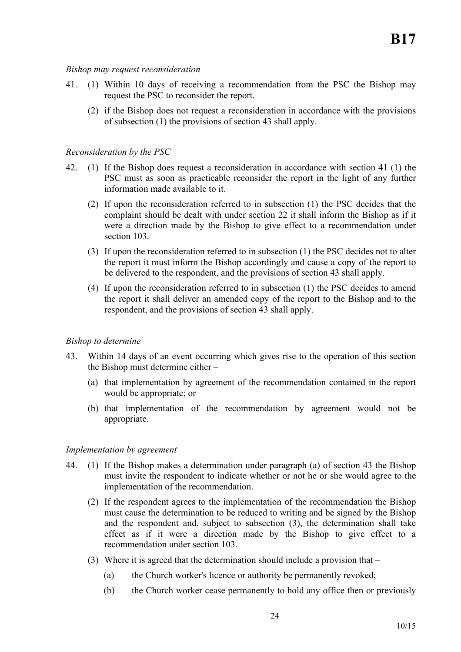#### *Bishop may request reconsideration*

- 41. (1) Within 10 days of receiving a recommendation from the PSC the Bishop may request the PSC to reconsider the report.
	- (2) if the Bishop does not request a reconsideration in accordance with the provisions of subsection (1) the provisions of section 43 shall apply.

#### *Reconsideration by the PSC*

- 42. (1) If the Bishop does request a reconsideration in accordance with section 41 (1) the PSC must as soon as practicable reconsider the report in the light of any further information made available to it.
	- (2) If upon the reconsideration referred to in subsection (1) the PSC decides that the complaint should be dealt with under section 22 it shall inform the Bishop as if it were a direction made by the Bishop to give effect to a recommendation under section 103.
	- (3) If upon the reconsideration referred to in subsection (1) the PSC decides not to alter the report it must inform the Bishop accordingly and cause a copy of the report to be delivered to the respondent, and the provisions of section 43 shall apply.
	- (4) If upon the reconsideration referred to in subsection (1) the PSC decides to amend the report it shall deliver an amended copy of the report to the Bishop and to the respondent, and the provisions of section 43 shall apply.

### *Bishop to determine*

- 43. Within 14 days of an event occurring which gives rise to the operation of this section the Bishop must determine either –
	- (a) that implementation by agreement of the recommendation contained in the report would be appropriate; or
	- (b) that implementation of the recommendation by agreement would not be appropriate.

### *Implementation by agreement*

- 44. (1) If the Bishop makes a determination under paragraph (a) of section 43 the Bishop must invite the respondent to indicate whether or not he or she would agree to the implementation of the recommendation.
	- (2) If the respondent agrees to the implementation of the recommendation the Bishop must cause the determination to be reduced to writing and be signed by the Bishop and the respondent and, subject to subsection (3), the determination shall take effect as if it were a direction made by the Bishop to give effect to a recommendation under section 103.
	- (3) Where it is agreed that the determination should include a provision that
		- (a) the Church worker's licence or authority be permanently revoked;
		- (b) the Church worker cease permanently to hold any office then or previously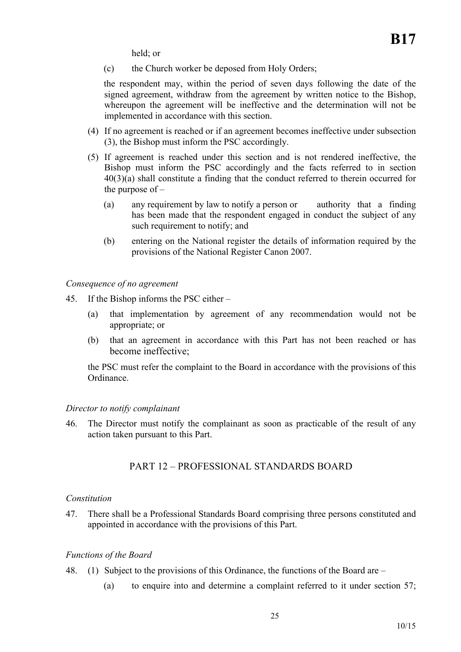held; or

(c) the Church worker be deposed from Holy Orders;

the respondent may, within the period of seven days following the date of the signed agreement, withdraw from the agreement by written notice to the Bishop, whereupon the agreement will be ineffective and the determination will not be implemented in accordance with this section.

- (4) If no agreement is reached or if an agreement becomes ineffective under subsection (3), the Bishop must inform the PSC accordingly.
- (5) If agreement is reached under this section and is not rendered ineffective, the Bishop must inform the PSC accordingly and the facts referred to in section 40(3)(a) shall constitute a finding that the conduct referred to therein occurred for the purpose of –
	- (a) any requirement by law to notify a person or authority that a finding has been made that the respondent engaged in conduct the subject of any such requirement to notify; and
	- (b) entering on the National register the details of information required by the provisions of the National Register Canon 2007.

## *Consequence of no agreement*

- 45. If the Bishop informs the PSC either
	- (a) that implementation by agreement of any recommendation would not be appropriate; or
	- (b) that an agreement in accordance with this Part has not been reached or has become ineffective;

the PSC must refer the complaint to the Board in accordance with the provisions of this Ordinance.

### *Director to notify complainant*

46. The Director must notify the complainant as soon as practicable of the result of any action taken pursuant to this Part.

# PART 12 – PROFESSIONAL STANDARDS BOARD

### *Constitution*

47. There shall be a Professional Standards Board comprising three persons constituted and appointed in accordance with the provisions of this Part.

## *Functions of the Board*

- 48. (1) Subject to the provisions of this Ordinance, the functions of the Board are
	- (a) to enquire into and determine a complaint referred to it under section 57;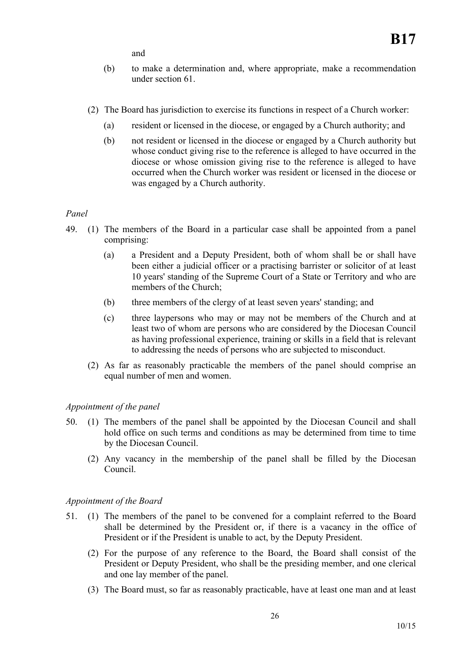and

- (b) to make a determination and, where appropriate, make a recommendation under section 61.
- (2) The Board has jurisdiction to exercise its functions in respect of a Church worker:
	- (a) resident or licensed in the diocese, or engaged by a Church authority; and
	- (b) not resident or licensed in the diocese or engaged by a Church authority but whose conduct giving rise to the reference is alleged to have occurred in the diocese or whose omission giving rise to the reference is alleged to have occurred when the Church worker was resident or licensed in the diocese or was engaged by a Church authority.

## *Panel*

- 49. (1) The members of the Board in a particular case shall be appointed from a panel comprising:
	- (a) a President and a Deputy President, both of whom shall be or shall have been either a judicial officer or a practising barrister or solicitor of at least 10 years' standing of the Supreme Court of a State or Territory and who are members of the Church;
	- (b) three members of the clergy of at least seven years' standing; and
	- (c) three laypersons who may or may not be members of the Church and at least two of whom are persons who are considered by the Diocesan Council as having professional experience, training or skills in a field that is relevant to addressing the needs of persons who are subjected to misconduct.
	- (2) As far as reasonably practicable the members of the panel should comprise an equal number of men and women.

## *Appointment of the panel*

- 50. (1) The members of the panel shall be appointed by the Diocesan Council and shall hold office on such terms and conditions as may be determined from time to time by the Diocesan Council.
	- (2) Any vacancy in the membership of the panel shall be filled by the Diocesan Council.

## *Appointment of the Board*

- 51. (1) The members of the panel to be convened for a complaint referred to the Board shall be determined by the President or, if there is a vacancy in the office of President or if the President is unable to act, by the Deputy President.
	- (2) For the purpose of any reference to the Board, the Board shall consist of the President or Deputy President, who shall be the presiding member, and one clerical and one lay member of the panel.
	- (3) The Board must, so far as reasonably practicable, have at least one man and at least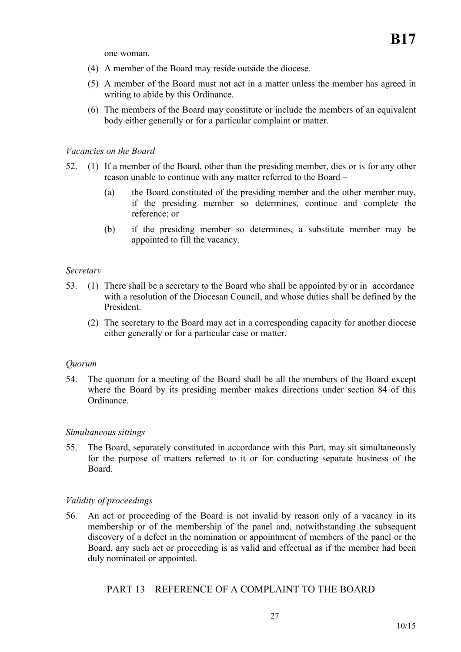one woman.

- (4) A member of the Board may reside outside the diocese.
- (5) A member of the Board must not act in a matter unless the member has agreed in writing to abide by this Ordinance.
- (6) The members of the Board may constitute or include the members of an equivalent body either generally or for a particular complaint or matter.

## *Vacancies on the Board*

- 52. (1) If a member of the Board, other than the presiding member, dies or is for any other reason unable to continue with any matter referred to the Board –
	- (a) the Board constituted of the presiding member and the other member may, if the presiding member so determines, continue and complete the reference; or
	- (b) if the presiding member so determines, a substitute member may be appointed to fill the vacancy.

## *Secretary*

- 53. (1) There shall be a secretary to the Board who shall be appointed by or in accordance with a resolution of the Diocesan Council, and whose duties shall be defined by the President.
	- (2) The secretary to the Board may act in a corresponding capacity for another diocese either generally or for a particular case or matter.

### *Quorum*

54. The quorum for a meeting of the Board shall be all the members of the Board except where the Board by its presiding member makes directions under section 84 of this Ordinance.

### *Simultaneous sittings*

55. The Board, separately constituted in accordance with this Part, may sit simultaneously for the purpose of matters referred to it or for conducting separate business of the Board.

## *Validity of proceedings*

56. An act or proceeding of the Board is not invalid by reason only of a vacancy in its membership or of the membership of the panel and, notwithstanding the subsequent discovery of a defect in the nomination or appointment of members of the panel or the Board, any such act or proceeding is as valid and effectual as if the member had been duly nominated or appointed.

# PART 13 – REFERENCE OF A COMPLAINT TO THE BOARD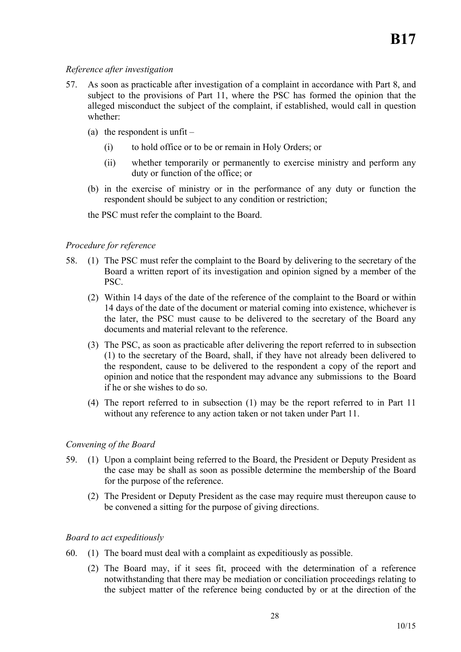## *Reference after investigation*

- 57. As soon as practicable after investigation of a complaint in accordance with Part 8, and subject to the provisions of Part 11, where the PSC has formed the opinion that the alleged misconduct the subject of the complaint, if established, would call in question whether:
	- (a) the respondent is unfit  $-$ 
		- (i) to hold office or to be or remain in Holy Orders; or
		- (ii) whether temporarily or permanently to exercise ministry and perform any duty or function of the office; or
	- (b) in the exercise of ministry or in the performance of any duty or function the respondent should be subject to any condition or restriction;

the PSC must refer the complaint to the Board.

## *Procedure for reference*

- 58. (1) The PSC must refer the complaint to the Board by delivering to the secretary of the Board a written report of its investigation and opinion signed by a member of the PSC.
	- (2) Within 14 days of the date of the reference of the complaint to the Board or within 14 days of the date of the document or material coming into existence, whichever is the later, the PSC must cause to be delivered to the secretary of the Board any documents and material relevant to the reference.
	- (3) The PSC, as soon as practicable after delivering the report referred to in subsection (1) to the secretary of the Board, shall, if they have not already been delivered to the respondent, cause to be delivered to the respondent a copy of the report and opinion and notice that the respondent may advance any submissions to the Board if he or she wishes to do so.
	- (4) The report referred to in subsection (1) may be the report referred to in Part 11 without any reference to any action taken or not taken under Part 11.

## *Convening of the Board*

- 59. (1) Upon a complaint being referred to the Board, the President or Deputy President as the case may be shall as soon as possible determine the membership of the Board for the purpose of the reference.
	- (2) The President or Deputy President as the case may require must thereupon cause to be convened a sitting for the purpose of giving directions.

## *Board to act expeditiously*

- 60. (1) The board must deal with a complaint as expeditiously as possible.
	- (2) The Board may, if it sees fit, proceed with the determination of a reference notwithstanding that there may be mediation or conciliation proceedings relating to the subject matter of the reference being conducted by or at the direction of the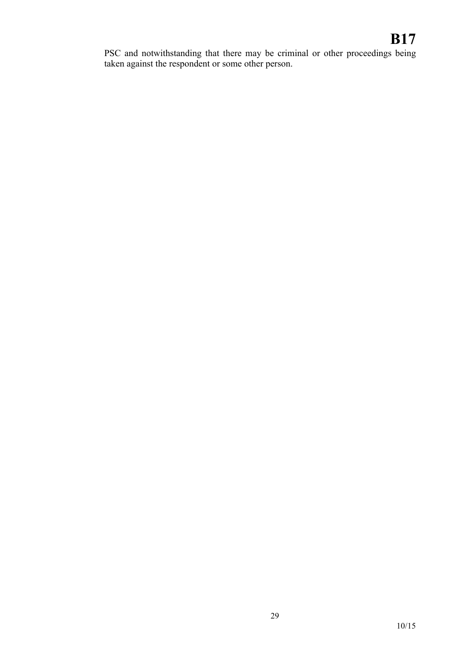# **B17**

PSC and notwithstanding that there may be criminal or other proceedings being taken against the respondent or some other person.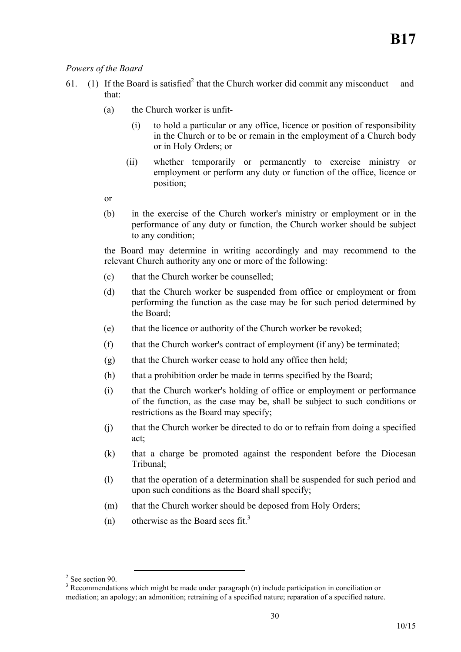## *Powers of the Board*

- 61. (1) If the Board is satisfied<sup>2</sup> that the Church worker did commit any misconduct and that:
	- (a) the Church worker is unfit-
		- (i) to hold a particular or any office, licence or position of responsibility in the Church or to be or remain in the employment of a Church body or in Holy Orders; or
		- (ii) whether temporarily or permanently to exercise ministry or employment or perform any duty or function of the office, licence or position;
	- or
	- (b) in the exercise of the Church worker's ministry or employment or in the performance of any duty or function, the Church worker should be subject to any condition;

the Board may determine in writing accordingly and may recommend to the relevant Church authority any one or more of the following:

- (c) that the Church worker be counselled;
- (d) that the Church worker be suspended from office or employment or from performing the function as the case may be for such period determined by the Board;
- (e) that the licence or authority of the Church worker be revoked;
- $(f)$  that the Church worker's contract of employment (if any) be terminated;
- (g) that the Church worker cease to hold any office then held;
- (h) that a prohibition order be made in terms specified by the Board;
- (i) that the Church worker's holding of office or employment or performance of the function, as the case may be, shall be subject to such conditions or restrictions as the Board may specify;
- (j) that the Church worker be directed to do or to refrain from doing a specified act;
- (k) that a charge be promoted against the respondent before the Diocesan Tribunal;
- (l) that the operation of a determination shall be suspended for such period and upon such conditions as the Board shall specify;
- (m) that the Church worker should be deposed from Holy Orders;
- (n) otherwise as the Board sees fit.<sup>3</sup>

<sup>&</sup>lt;sup>2</sup> See section 90.<br><sup>3</sup> Recommendations which might be made under paragraph (n) include participation in conciliation or mediation; an apology; an admonition; retraining of a specified nature; reparation of a specified nature.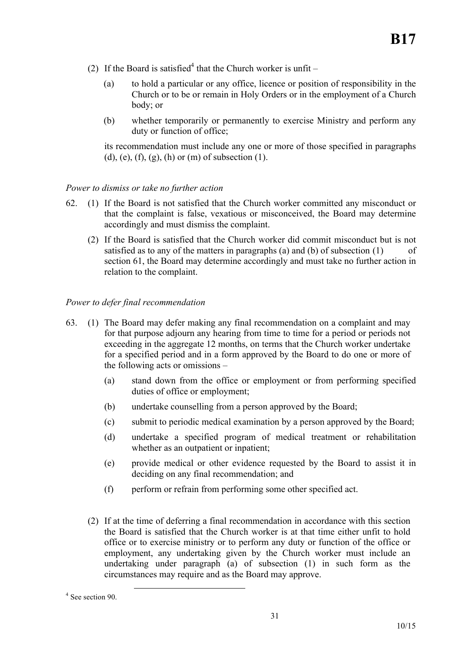- (2) If the Board is satisfied<sup>4</sup> that the Church worker is unfit
	- (a) to hold a particular or any office, licence or position of responsibility in the Church or to be or remain in Holy Orders or in the employment of a Church body; or
	- (b) whether temporarily or permanently to exercise Ministry and perform any duty or function of office;

its recommendation must include any one or more of those specified in paragraphs (d), (e), (f), (g), (h) or (m) of subsection (1).

## *Power to dismiss or take no further action*

- 62. (1) If the Board is not satisfied that the Church worker committed any misconduct or that the complaint is false, vexatious or misconceived, the Board may determine accordingly and must dismiss the complaint.
	- (2) If the Board is satisfied that the Church worker did commit misconduct but is not satisfied as to any of the matters in paragraphs (a) and (b) of subsection  $(1)$  of section 61, the Board may determine accordingly and must take no further action in relation to the complaint.

### *Power to defer final recommendation*

- 63. (1) The Board may defer making any final recommendation on a complaint and may for that purpose adjourn any hearing from time to time for a period or periods not exceeding in the aggregate 12 months, on terms that the Church worker undertake for a specified period and in a form approved by the Board to do one or more of the following acts or omissions –
	- (a) stand down from the office or employment or from performing specified duties of office or employment;
	- (b) undertake counselling from a person approved by the Board;
	- (c) submit to periodic medical examination by a person approved by the Board;
	- (d) undertake a specified program of medical treatment or rehabilitation whether as an outpatient or inpatient;
	- (e) provide medical or other evidence requested by the Board to assist it in deciding on any final recommendation; and
	- (f) perform or refrain from performing some other specified act.
	- (2) If at the time of deferring a final recommendation in accordance with this section the Board is satisfied that the Church worker is at that time either unfit to hold office or to exercise ministry or to perform any duty or function of the office or employment, any undertaking given by the Church worker must include an undertaking under paragraph (a) of subsection (1) in such form as the circumstances may require and as the Board may approve.

<sup>&</sup>lt;sup>4</sup> See section 90.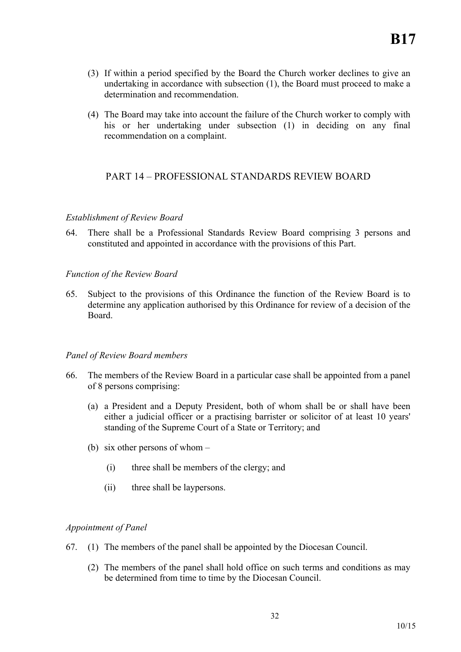- (3) If within a period specified by the Board the Church worker declines to give an undertaking in accordance with subsection (1), the Board must proceed to make a determination and recommendation.
- (4) The Board may take into account the failure of the Church worker to comply with his or her undertaking under subsection (1) in deciding on any final recommendation on a complaint.

# PART 14 – PROFESSIONAL STANDARDS REVIEW BOARD

## *Establishment of Review Board*

64. There shall be a Professional Standards Review Board comprising 3 persons and constituted and appointed in accordance with the provisions of this Part.

## *Function of the Review Board*

65. Subject to the provisions of this Ordinance the function of the Review Board is to determine any application authorised by this Ordinance for review of a decision of the Board.

## *Panel of Review Board members*

- 66. The members of the Review Board in a particular case shall be appointed from a panel of 8 persons comprising:
	- (a) a President and a Deputy President, both of whom shall be or shall have been either a judicial officer or a practising barrister or solicitor of at least 10 years' standing of the Supreme Court of a State or Territory; and
	- (b) six other persons of whom
		- (i) three shall be members of the clergy; and
		- (ii) three shall be laypersons.

## *Appointment of Panel*

- 67. (1) The members of the panel shall be appointed by the Diocesan Council.
	- (2) The members of the panel shall hold office on such terms and conditions as may be determined from time to time by the Diocesan Council.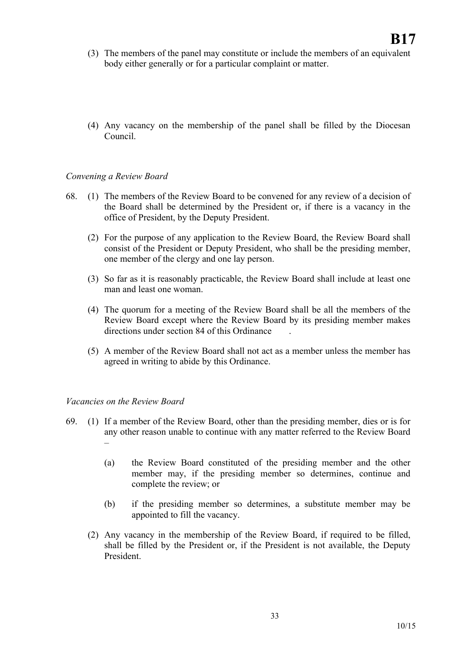- (3) The members of the panel may constitute or include the members of an equivalent body either generally or for a particular complaint or matter.
- (4) Any vacancy on the membership of the panel shall be filled by the Diocesan Council.

### *Convening a Review Board*

- 68. (1) The members of the Review Board to be convened for any review of a decision of the Board shall be determined by the President or, if there is a vacancy in the office of President, by the Deputy President.
	- (2) For the purpose of any application to the Review Board, the Review Board shall consist of the President or Deputy President, who shall be the presiding member, one member of the clergy and one lay person.
	- (3) So far as it is reasonably practicable, the Review Board shall include at least one man and least one woman.
	- (4) The quorum for a meeting of the Review Board shall be all the members of the Review Board except where the Review Board by its presiding member makes directions under section 84 of this Ordinance .
	- (5) A member of the Review Board shall not act as a member unless the member has agreed in writing to abide by this Ordinance.

#### *Vacancies on the Review Board*

- 69. (1) If a member of the Review Board, other than the presiding member, dies or is for any other reason unable to continue with any matter referred to the Review Board –
	- (a) the Review Board constituted of the presiding member and the other member may, if the presiding member so determines, continue and complete the review; or
	- (b) if the presiding member so determines, a substitute member may be appointed to fill the vacancy.
	- (2) Any vacancy in the membership of the Review Board, if required to be filled, shall be filled by the President or, if the President is not available, the Deputy President.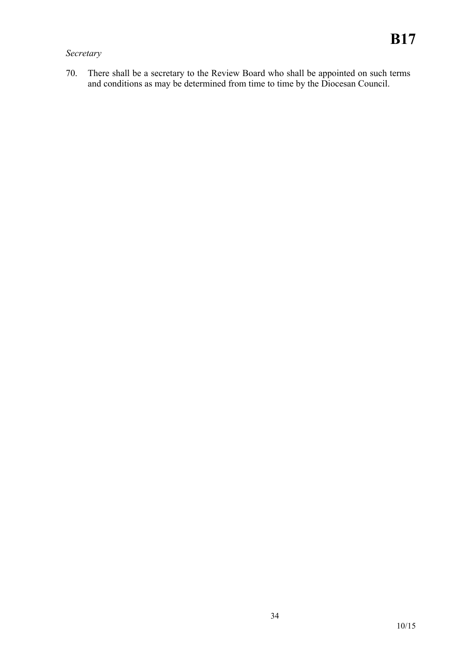## *Secretary*

70. There shall be a secretary to the Review Board who shall be appointed on such terms and conditions as may be determined from time to time by the Diocesan Council.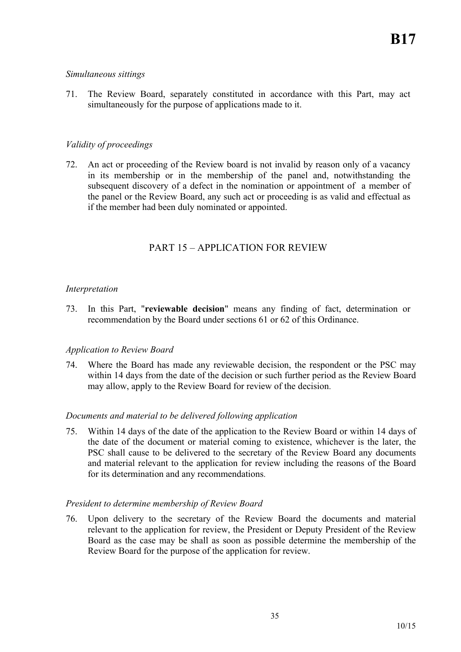## *Simultaneous sittings*

71. The Review Board, separately constituted in accordance with this Part, may act simultaneously for the purpose of applications made to it.

## *Validity of proceedings*

72. An act or proceeding of the Review board is not invalid by reason only of a vacancy in its membership or in the membership of the panel and, notwithstanding the subsequent discovery of a defect in the nomination or appointment of a member of the panel or the Review Board, any such act or proceeding is as valid and effectual as if the member had been duly nominated or appointed.

# PART 15 – APPLICATION FOR REVIEW

## *Interpretation*

73. In this Part, "**reviewable decision**" means any finding of fact, determination or recommendation by the Board under sections 61 or 62 of this Ordinance.

## *Application to Review Board*

74. Where the Board has made any reviewable decision, the respondent or the PSC may within 14 days from the date of the decision or such further period as the Review Board may allow, apply to the Review Board for review of the decision.

## *Documents and material to be delivered following application*

75. Within 14 days of the date of the application to the Review Board or within 14 days of the date of the document or material coming to existence, whichever is the later, the PSC shall cause to be delivered to the secretary of the Review Board any documents and material relevant to the application for review including the reasons of the Board for its determination and any recommendations.

## *President to determine membership of Review Board*

76. Upon delivery to the secretary of the Review Board the documents and material relevant to the application for review, the President or Deputy President of the Review Board as the case may be shall as soon as possible determine the membership of the Review Board for the purpose of the application for review.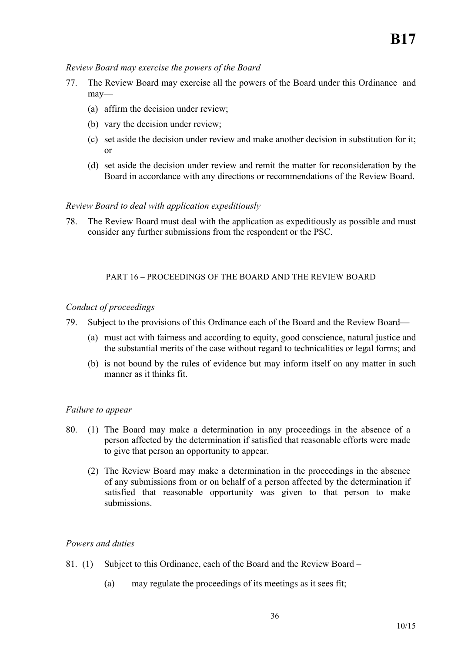### *Review Board may exercise the powers of the Board*

- 77. The Review Board may exercise all the powers of the Board under this Ordinance and may—
	- (a) affirm the decision under review;
	- (b) vary the decision under review;
	- (c) set aside the decision under review and make another decision in substitution for it; or
	- (d) set aside the decision under review and remit the matter for reconsideration by the Board in accordance with any directions or recommendations of the Review Board.

### *Review Board to deal with application expeditiously*

78. The Review Board must deal with the application as expeditiously as possible and must consider any further submissions from the respondent or the PSC.

### PART 16 – PROCEEDINGS OF THE BOARD AND THE REVIEW BOARD

### *Conduct of proceedings*

- 79. Subject to the provisions of this Ordinance each of the Board and the Review Board—
	- (a) must act with fairness and according to equity, good conscience, natural justice and the substantial merits of the case without regard to technicalities or legal forms; and
	- (b) is not bound by the rules of evidence but may inform itself on any matter in such manner as it thinks fit.

### *Failure to appear*

- 80. (1) The Board may make a determination in any proceedings in the absence of a person affected by the determination if satisfied that reasonable efforts were made to give that person an opportunity to appear.
	- (2) The Review Board may make a determination in the proceedings in the absence of any submissions from or on behalf of a person affected by the determination if satisfied that reasonable opportunity was given to that person to make submissions.

## *Powers and duties*

- 81. (1) Subject to this Ordinance, each of the Board and the Review Board
	- (a) may regulate the proceedings of its meetings as it sees fit;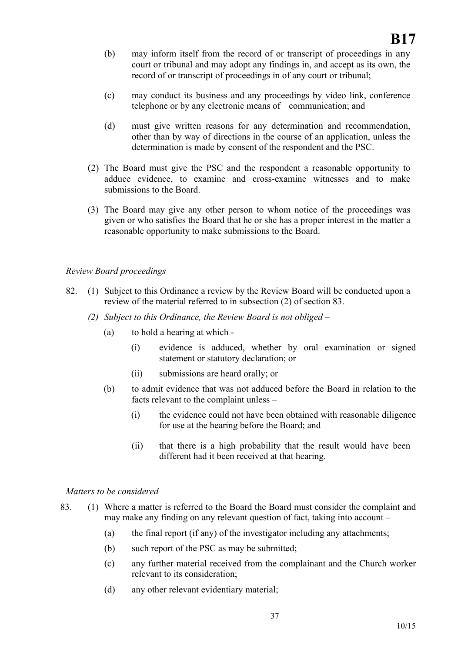- (b) may inform itself from the record of or transcript of proceedings in any court or tribunal and may adopt any findings in, and accept as its own, the record of or transcript of proceedings in of any court or tribunal;
- (c) may conduct its business and any proceedings by video link, conference telephone or by any electronic means of communication; and
- (d) must give written reasons for any determination and recommendation, other than by way of directions in the course of an application, unless the determination is made by consent of the respondent and the PSC.
- (2) The Board must give the PSC and the respondent a reasonable opportunity to adduce evidence, to examine and cross-examine witnesses and to make submissions to the Board.
- (3) The Board may give any other person to whom notice of the proceedings was given or who satisfies the Board that he or she has a proper interest in the matter a reasonable opportunity to make submissions to the Board.

## *Review Board proceedings*

- 82. (1) Subject to this Ordinance a review by the Review Board will be conducted upon a review of the material referred to in subsection (2) of section 83.
	- *(2) Subject to this Ordinance, the Review Board is not obliged –*
		- (a) to hold a hearing at which
			- (i) evidence is adduced, whether by oral examination or signed statement or statutory declaration; or
			- (ii) submissions are heard orally; or
		- (b) to admit evidence that was not adduced before the Board in relation to the facts relevant to the complaint unless –
			- (i) the evidence could not have been obtained with reasonable diligence for use at the hearing before the Board; and
			- (ii) that there is a high probability that the result would have been different had it been received at that hearing.

### *Matters to be considered*

- 83. (1) Where a matter is referred to the Board the Board must consider the complaint and may make any finding on any relevant question of fact, taking into account –
	- (a) the final report (if any) of the investigator including any attachments;
	- (b) such report of the PSC as may be submitted;
	- (c) any further material received from the complainant and the Church worker relevant to its consideration;
	- (d) any other relevant evidentiary material;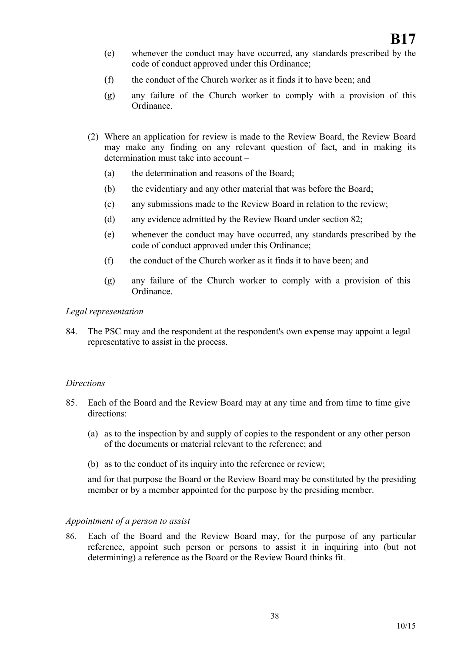- (e) whenever the conduct may have occurred, any standards prescribed by the code of conduct approved under this Ordinance;
- (f) the conduct of the Church worker as it finds it to have been; and
- (g) any failure of the Church worker to comply with a provision of this Ordinance.
- (2) Where an application for review is made to the Review Board, the Review Board may make any finding on any relevant question of fact, and in making its determination must take into account –
	- (a) the determination and reasons of the Board;
	- (b) the evidentiary and any other material that was before the Board;
	- (c) any submissions made to the Review Board in relation to the review;
	- (d) any evidence admitted by the Review Board under section 82;
	- (e) whenever the conduct may have occurred, any standards prescribed by the code of conduct approved under this Ordinance;
	- (f) the conduct of the Church worker as it finds it to have been; and
	- (g) any failure of the Church worker to comply with a provision of this Ordinance.

### *Legal representation*

84. The PSC may and the respondent at the respondent's own expense may appoint a legal representative to assist in the process.

## *Directions*

- 85. Each of the Board and the Review Board may at any time and from time to time give directions:
	- (a) as to the inspection by and supply of copies to the respondent or any other person of the documents or material relevant to the reference; and
	- (b) as to the conduct of its inquiry into the reference or review;

and for that purpose the Board or the Review Board may be constituted by the presiding member or by a member appointed for the purpose by the presiding member.

### *Appointment of a person to assist*

86. Each of the Board and the Review Board may, for the purpose of any particular reference, appoint such person or persons to assist it in inquiring into (but not determining) a reference as the Board or the Review Board thinks fit.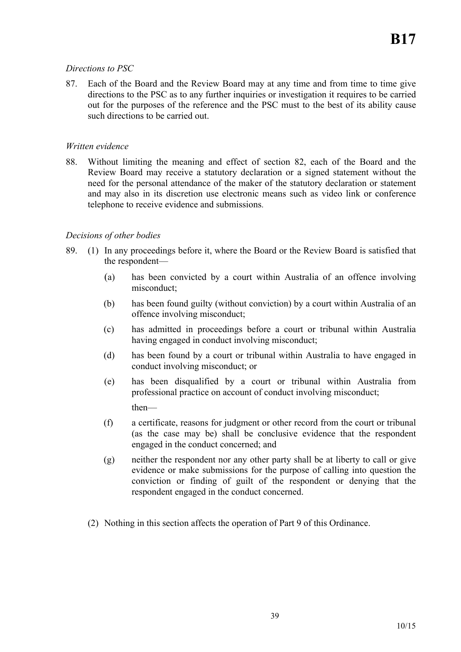## *Directions to PSC*

87. Each of the Board and the Review Board may at any time and from time to time give directions to the PSC as to any further inquiries or investigation it requires to be carried out for the purposes of the reference and the PSC must to the best of its ability cause such directions to be carried out.

## *Written evidence*

88. Without limiting the meaning and effect of section 82, each of the Board and the Review Board may receive a statutory declaration or a signed statement without the need for the personal attendance of the maker of the statutory declaration or statement and may also in its discretion use electronic means such as video link or conference telephone to receive evidence and submissions.

## *Decisions of other bodies*

- 89. (1) In any proceedings before it, where the Board or the Review Board is satisfied that the respondent—
	- (a) has been convicted by a court within Australia of an offence involving misconduct;
	- (b) has been found guilty (without conviction) by a court within Australia of an offence involving misconduct;
	- (c) has admitted in proceedings before a court or tribunal within Australia having engaged in conduct involving misconduct;
	- (d) has been found by a court or tribunal within Australia to have engaged in conduct involving misconduct; or
	- (e) has been disqualified by a court or tribunal within Australia from professional practice on account of conduct involving misconduct; then—
	- (f) a certificate, reasons for judgment or other record from the court or tribunal (as the case may be) shall be conclusive evidence that the respondent engaged in the conduct concerned; and
	- (g) neither the respondent nor any other party shall be at liberty to call or give evidence or make submissions for the purpose of calling into question the conviction or finding of guilt of the respondent or denying that the respondent engaged in the conduct concerned.
	- (2) Nothing in this section affects the operation of Part 9 of this Ordinance.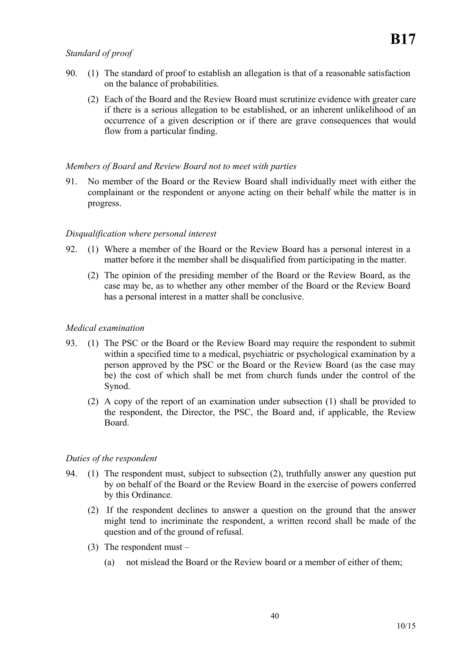## *Standard of proof*

- 90. (1) The standard of proof to establish an allegation is that of a reasonable satisfaction on the balance of probabilities.
	- (2) Each of the Board and the Review Board must scrutinize evidence with greater care if there is a serious allegation to be established, or an inherent unlikelihood of an occurrence of a given description or if there are grave consequences that would flow from a particular finding.

## *Members of Board and Review Board not to meet with parties*

91. No member of the Board or the Review Board shall individually meet with either the complainant or the respondent or anyone acting on their behalf while the matter is in progress.

## *Disqualification where personal interest*

- 92. (1) Where a member of the Board or the Review Board has a personal interest in a matter before it the member shall be disqualified from participating in the matter.
	- (2) The opinion of the presiding member of the Board or the Review Board, as the case may be, as to whether any other member of the Board or the Review Board has a personal interest in a matter shall be conclusive.

## *Medical examination*

- 93. (1) The PSC or the Board or the Review Board may require the respondent to submit within a specified time to a medical, psychiatric or psychological examination by a person approved by the PSC or the Board or the Review Board (as the case may be) the cost of which shall be met from church funds under the control of the Synod.
	- (2) A copy of the report of an examination under subsection (1) shall be provided to the respondent, the Director, the PSC, the Board and, if applicable, the Review Board.

## *Duties of the respondent*

- 94. (1) The respondent must, subject to subsection (2), truthfully answer any question put by on behalf of the Board or the Review Board in the exercise of powers conferred by this Ordinance.
	- (2) If the respondent declines to answer a question on the ground that the answer might tend to incriminate the respondent, a written record shall be made of the question and of the ground of refusal.
	- (3) The respondent must
		- (a) not mislead the Board or the Review board or a member of either of them;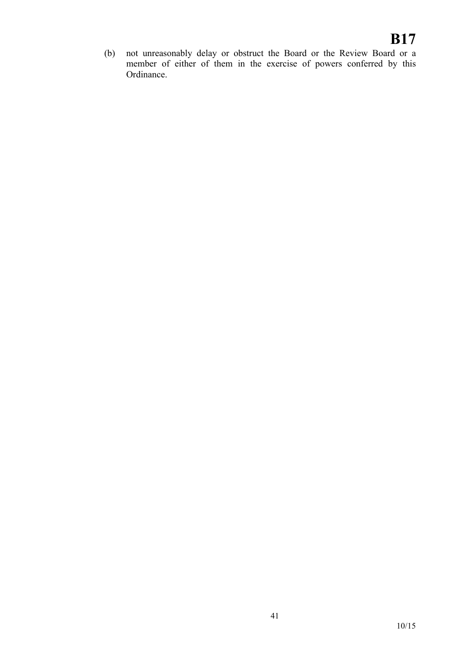# **B17**

(b) not unreasonably delay or obstruct the Board or the Review Board or a member of either of them in the exercise of powers conferred by this Ordinance.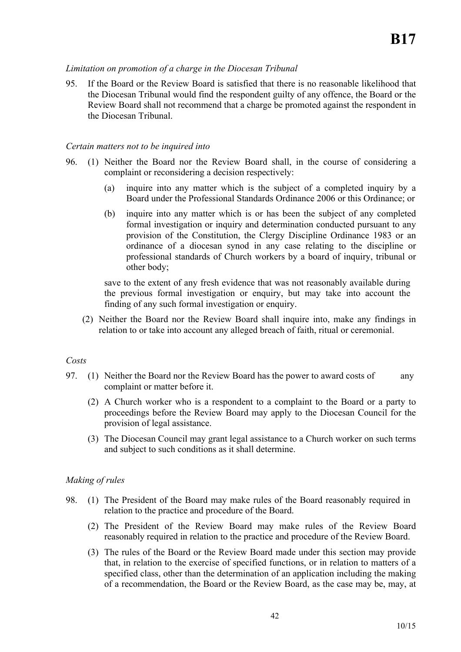## *Limitation on promotion of a charge in the Diocesan Tribunal*

95. If the Board or the Review Board is satisfied that there is no reasonable likelihood that the Diocesan Tribunal would find the respondent guilty of any offence, the Board or the Review Board shall not recommend that a charge be promoted against the respondent in the Diocesan Tribunal.

## *Certain matters not to be inquired into*

- 96. (1) Neither the Board nor the Review Board shall, in the course of considering a complaint or reconsidering a decision respectively:
	- (a) inquire into any matter which is the subject of a completed inquiry by a Board under the Professional Standards Ordinance 2006 or this Ordinance; or
	- (b) inquire into any matter which is or has been the subject of any completed formal investigation or inquiry and determination conducted pursuant to any provision of the Constitution, the Clergy Discipline Ordinance 1983 or an ordinance of a diocesan synod in any case relating to the discipline or professional standards of Church workers by a board of inquiry, tribunal or other body;

save to the extent of any fresh evidence that was not reasonably available during the previous formal investigation or enquiry, but may take into account the finding of any such formal investigation or enquiry.

(2) Neither the Board nor the Review Board shall inquire into, make any findings in relation to or take into account any alleged breach of faith, ritual or ceremonial.

### *Costs*

- 97. (1) Neither the Board nor the Review Board has the power to award costs of any complaint or matter before it.
	- (2) A Church worker who is a respondent to a complaint to the Board or a party to proceedings before the Review Board may apply to the Diocesan Council for the provision of legal assistance.
	- (3) The Diocesan Council may grant legal assistance to a Church worker on such terms and subject to such conditions as it shall determine.

### *Making of rules*

- 98. (1) The President of the Board may make rules of the Board reasonably required in relation to the practice and procedure of the Board.
	- (2) The President of the Review Board may make rules of the Review Board reasonably required in relation to the practice and procedure of the Review Board.
	- (3) The rules of the Board or the Review Board made under this section may provide that, in relation to the exercise of specified functions, or in relation to matters of a specified class, other than the determination of an application including the making of a recommendation, the Board or the Review Board, as the case may be, may, at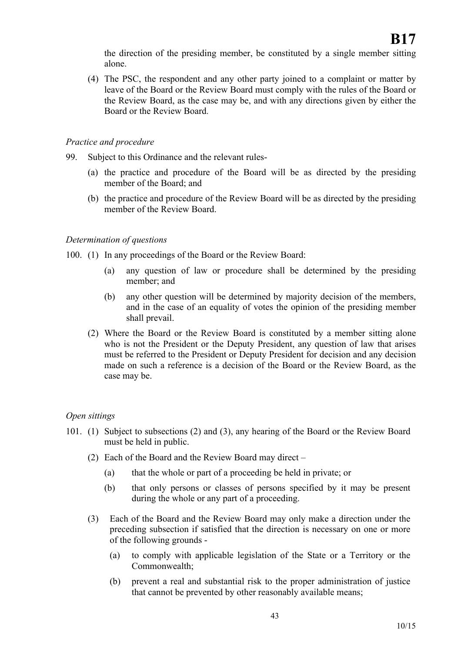the direction of the presiding member, be constituted by a single member sitting alone.

(4) The PSC, the respondent and any other party joined to a complaint or matter by leave of the Board or the Review Board must comply with the rules of the Board or the Review Board, as the case may be, and with any directions given by either the Board or the Review Board.

## *Practice and procedure*

- 99. Subject to this Ordinance and the relevant rules-
	- (a) the practice and procedure of the Board will be as directed by the presiding member of the Board; and
	- (b) the practice and procedure of the Review Board will be as directed by the presiding member of the Review Board.

## *Determination of questions*

- 100. (1) In any proceedings of the Board or the Review Board:
	- (a) any question of law or procedure shall be determined by the presiding member; and
	- (b) any other question will be determined by majority decision of the members, and in the case of an equality of votes the opinion of the presiding member shall prevail.
	- (2) Where the Board or the Review Board is constituted by a member sitting alone who is not the President or the Deputy President, any question of law that arises must be referred to the President or Deputy President for decision and any decision made on such a reference is a decision of the Board or the Review Board, as the case may be.

### *Open sittings*

- 101. (1) Subject to subsections (2) and (3), any hearing of the Board or the Review Board must be held in public.
	- (2) Each of the Board and the Review Board may direct
		- (a) that the whole or part of a proceeding be held in private; or
		- (b) that only persons or classes of persons specified by it may be present during the whole or any part of a proceeding.
	- (3) Each of the Board and the Review Board may only make a direction under the preceding subsection if satisfied that the direction is necessary on one or more of the following grounds -
		- (a) to comply with applicable legislation of the State or a Territory or the Commonwealth;
		- (b) prevent a real and substantial risk to the proper administration of justice that cannot be prevented by other reasonably available means;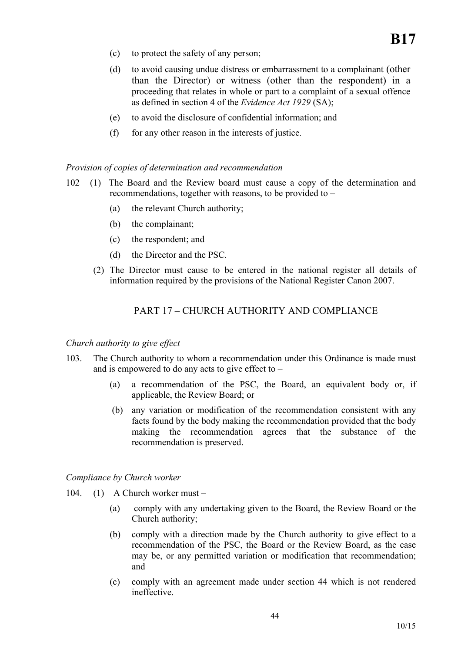- (c) to protect the safety of any person;
- (d) to avoid causing undue distress or embarrassment to a complainant (other than the Director) or witness (other than the respondent) in a proceeding that relates in whole or part to a complaint of a sexual offence as defined in section 4 of the *Evidence Act 1929* (SA);
- (e) to avoid the disclosure of confidential information; and
- (f) for any other reason in the interests of justice.

### *Provision of copies of determination and recommendation*

- 102 (1) The Board and the Review board must cause a copy of the determination and recommendations, together with reasons, to be provided to –
	- (a) the relevant Church authority;
	- (b) the complainant;
	- (c) the respondent; and
	- (d) the Director and the PSC.
	- (2) The Director must cause to be entered in the national register all details of information required by the provisions of the National Register Canon 2007.

# PART 17 – CHURCH AUTHORITY AND COMPLIANCE

### *Church authority to give effect*

- 103. The Church authority to whom a recommendation under this Ordinance is made must and is empowered to do any acts to give effect to –
	- (a) a recommendation of the PSC, the Board, an equivalent body or, if applicable, the Review Board; or
	- (b) any variation or modification of the recommendation consistent with any facts found by the body making the recommendation provided that the body making the recommendation agrees that the substance of the recommendation is preserved.

### *Compliance by Church worker*

- 104. (1) A Church worker must
	- (a) comply with any undertaking given to the Board, the Review Board or the Church authority;
	- (b) comply with a direction made by the Church authority to give effect to a recommendation of the PSC, the Board or the Review Board, as the case may be, or any permitted variation or modification that recommendation; and
	- (c) comply with an agreement made under section 44 which is not rendered ineffective.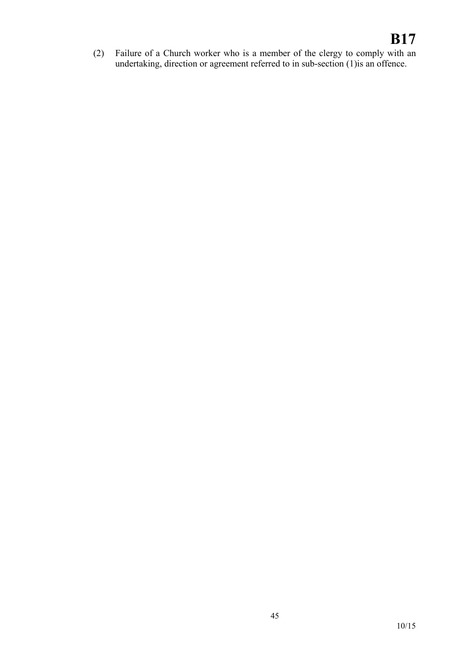# **B17**

(2) Failure of a Church worker who is a member of the clergy to comply with an undertaking, direction or agreement referred to in sub-section (1)is an offence.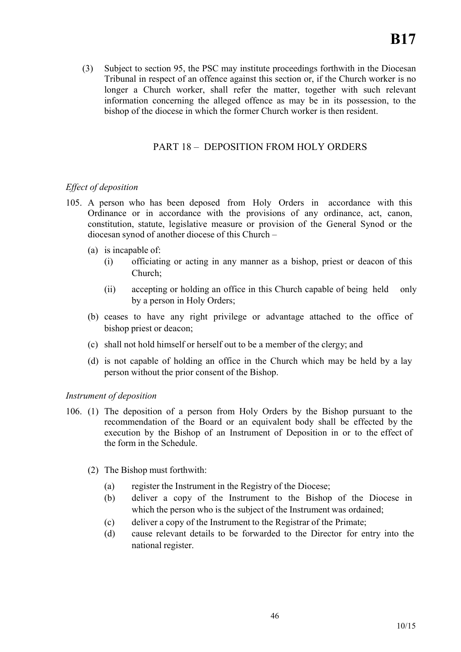(3) Subject to section 95, the PSC may institute proceedings forthwith in the Diocesan Tribunal in respect of an offence against this section or, if the Church worker is no longer a Church worker, shall refer the matter, together with such relevant information concerning the alleged offence as may be in its possession, to the bishop of the diocese in which the former Church worker is then resident.

## PART 18 – DEPOSITION FROM HOLY ORDERS

## *Effect of deposition*

- 105. A person who has been deposed from Holy Orders in accordance with this Ordinance or in accordance with the provisions of any ordinance, act, canon, constitution, statute, legislative measure or provision of the General Synod or the diocesan synod of another diocese of this Church –
	- (a) is incapable of:
		- (i) officiating or acting in any manner as a bishop, priest or deacon of this Church;
		- (ii) accepting or holding an office in this Church capable of being held only by a person in Holy Orders;
	- (b) ceases to have any right privilege or advantage attached to the office of bishop priest or deacon;
	- (c) shall not hold himself or herself out to be a member of the clergy; and
	- (d) is not capable of holding an office in the Church which may be held by a lay person without the prior consent of the Bishop.

### *Instrument of deposition*

- 106. (1) The deposition of a person from Holy Orders by the Bishop pursuant to the recommendation of the Board or an equivalent body shall be effected by the execution by the Bishop of an Instrument of Deposition in or to the effect of the form in the Schedule.
	- (2) The Bishop must forthwith:
		- (a) register the Instrument in the Registry of the Diocese;
		- (b) deliver a copy of the Instrument to the Bishop of the Diocese in which the person who is the subject of the Instrument was ordained;
		- (c) deliver a copy of the Instrument to the Registrar of the Primate;
		- (d) cause relevant details to be forwarded to the Director for entry into the national register.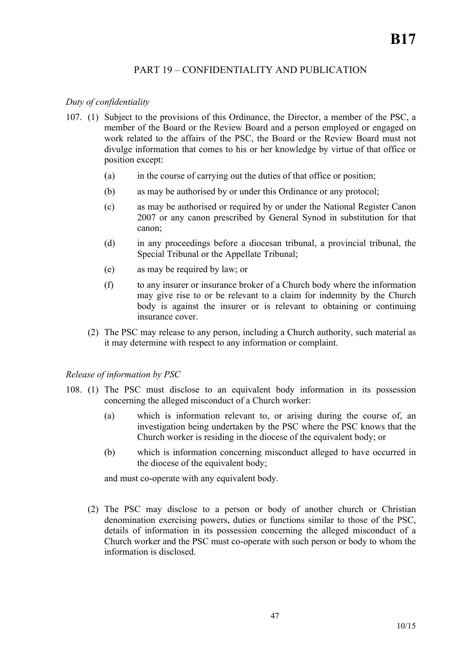## PART 19 – CONFIDENTIALITY AND PUBLICATION

## *Duty of confidentiality*

- 107. (1) Subject to the provisions of this Ordinance, the Director, a member of the PSC, a member of the Board or the Review Board and a person employed or engaged on work related to the affairs of the PSC, the Board or the Review Board must not divulge information that comes to his or her knowledge by virtue of that office or position except:
	- (a) in the course of carrying out the duties of that office or position;
	- (b) as may be authorised by or under this Ordinance or any protocol;
	- (c) as may be authorised or required by or under the National Register Canon 2007 or any canon prescribed by General Synod in substitution for that canon;
	- (d) in any proceedings before a diocesan tribunal, a provincial tribunal, the Special Tribunal or the Appellate Tribunal;
	- (e) as may be required by law; or
	- (f) to any insurer or insurance broker of a Church body where the information may give rise to or be relevant to a claim for indemnity by the Church body is against the insurer or is relevant to obtaining or continuing insurance cover.
	- (2) The PSC may release to any person, including a Church authority, such material as it may determine with respect to any information or complaint.

### *Release of information by PSC*

- 108. (1) The PSC must disclose to an equivalent body information in its possession concerning the alleged misconduct of a Church worker:
	- (a) which is information relevant to, or arising during the course of, an investigation being undertaken by the PSC where the PSC knows that the Church worker is residing in the diocese of the equivalent body; or
	- (b) which is information concerning misconduct alleged to have occurred in the diocese of the equivalent body;

and must co-operate with any equivalent body.

(2) The PSC may disclose to a person or body of another church or Christian denomination exercising powers, duties or functions similar to those of the PSC, details of information in its possession concerning the alleged misconduct of a Church worker and the PSC must co-operate with such person or body to whom the information is disclosed.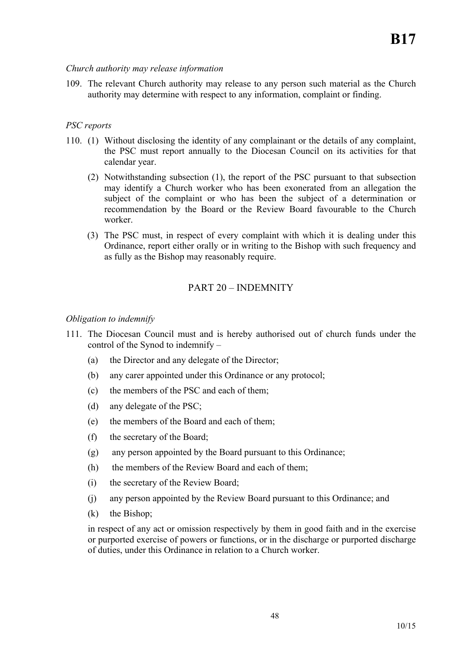# **B17**

## *Church authority may release information*

109. The relevant Church authority may release to any person such material as the Church authority may determine with respect to any information, complaint or finding.

## *PSC reports*

- 110. (1) Without disclosing the identity of any complainant or the details of any complaint, the PSC must report annually to the Diocesan Council on its activities for that calendar year.
	- (2) Notwithstanding subsection (1), the report of the PSC pursuant to that subsection may identify a Church worker who has been exonerated from an allegation the subject of the complaint or who has been the subject of a determination or recommendation by the Board or the Review Board favourable to the Church worker.
	- (3) The PSC must, in respect of every complaint with which it is dealing under this Ordinance, report either orally or in writing to the Bishop with such frequency and as fully as the Bishop may reasonably require.

# PART 20 – INDEMNITY

## *Obligation to indemnify*

- 111. The Diocesan Council must and is hereby authorised out of church funds under the control of the Synod to indemnify –
	- (a) the Director and any delegate of the Director;
	- (b) any carer appointed under this Ordinance or any protocol;
	- (c) the members of the PSC and each of them;
	- (d) any delegate of the PSC;
	- (e) the members of the Board and each of them;
	- (f) the secretary of the Board;
	- (g) any person appointed by the Board pursuant to this Ordinance;
	- (h) the members of the Review Board and each of them;
	- (i) the secretary of the Review Board;
	- (j) any person appointed by the Review Board pursuant to this Ordinance; and
	- (k) the Bishop;

in respect of any act or omission respectively by them in good faith and in the exercise or purported exercise of powers or functions, or in the discharge or purported discharge of duties, under this Ordinance in relation to a Church worker.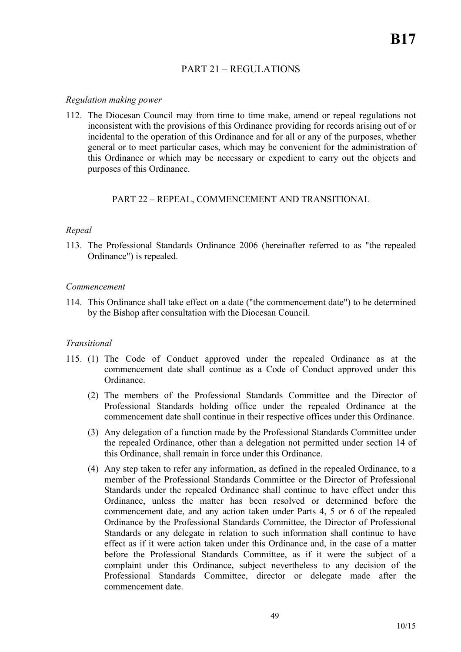# PART 21 – REGULATIONS

## *Regulation making power*

112. The Diocesan Council may from time to time make, amend or repeal regulations not inconsistent with the provisions of this Ordinance providing for records arising out of or incidental to the operation of this Ordinance and for all or any of the purposes, whether general or to meet particular cases, which may be convenient for the administration of this Ordinance or which may be necessary or expedient to carry out the objects and purposes of this Ordinance.

## PART 22 – REPEAL, COMMENCEMENT AND TRANSITIONAL

## *Repeal*

113. The Professional Standards Ordinance 2006 (hereinafter referred to as "the repealed Ordinance") is repealed.

## *Commencement*

114. This Ordinance shall take effect on a date ("the commencement date") to be determined by the Bishop after consultation with the Diocesan Council.

## *Transitional*

- 115. (1) The Code of Conduct approved under the repealed Ordinance as at the commencement date shall continue as a Code of Conduct approved under this Ordinance.
	- (2) The members of the Professional Standards Committee and the Director of Professional Standards holding office under the repealed Ordinance at the commencement date shall continue in their respective offices under this Ordinance.
	- (3) Any delegation of a function made by the Professional Standards Committee under the repealed Ordinance, other than a delegation not permitted under section 14 of this Ordinance, shall remain in force under this Ordinance.
	- (4) Any step taken to refer any information, as defined in the repealed Ordinance, to a member of the Professional Standards Committee or the Director of Professional Standards under the repealed Ordinance shall continue to have effect under this Ordinance, unless the matter has been resolved or determined before the commencement date, and any action taken under Parts 4, 5 or 6 of the repealed Ordinance by the Professional Standards Committee, the Director of Professional Standards or any delegate in relation to such information shall continue to have effect as if it were action taken under this Ordinance and, in the case of a matter before the Professional Standards Committee, as if it were the subject of a complaint under this Ordinance, subject nevertheless to any decision of the Professional Standards Committee, director or delegate made after the commencement date.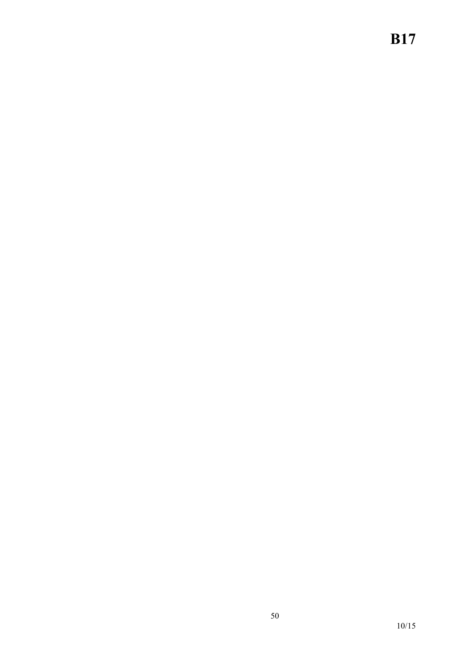**B17**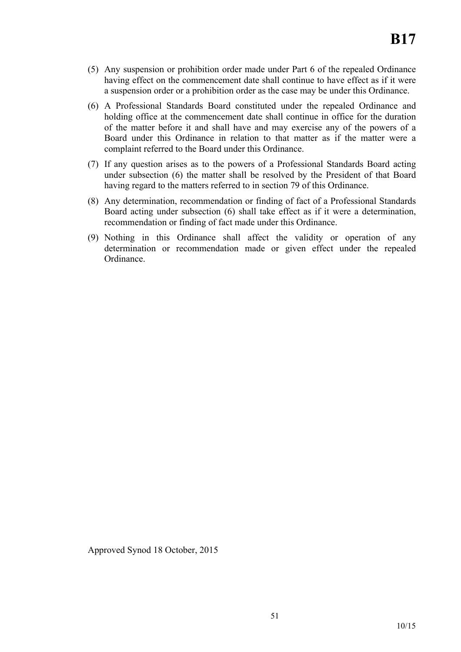- (5) Any suspension or prohibition order made under Part 6 of the repealed Ordinance having effect on the commencement date shall continue to have effect as if it were a suspension order or a prohibition order as the case may be under this Ordinance.
- (6) A Professional Standards Board constituted under the repealed Ordinance and holding office at the commencement date shall continue in office for the duration of the matter before it and shall have and may exercise any of the powers of a Board under this Ordinance in relation to that matter as if the matter were a complaint referred to the Board under this Ordinance.
- (7) If any question arises as to the powers of a Professional Standards Board acting under subsection (6) the matter shall be resolved by the President of that Board having regard to the matters referred to in section 79 of this Ordinance.
- (8) Any determination, recommendation or finding of fact of a Professional Standards Board acting under subsection (6) shall take effect as if it were a determination, recommendation or finding of fact made under this Ordinance.
- (9) Nothing in this Ordinance shall affect the validity or operation of any determination or recommendation made or given effect under the repealed Ordinance.

Approved Synod 18 October, 2015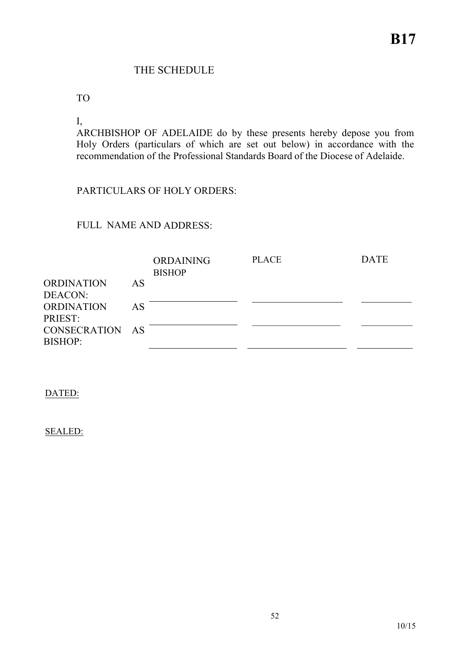# THE SCHEDULE

TO

I,

ARCHBISHOP OF ADELAIDE do by these presents hereby depose you from Holy Orders (particulars of which are set out below) in accordance with the recommendation of the Professional Standards Board of the Diocese of Adelaide.

PARTICULARS OF HOLY ORDERS:

# FULL NAME AND ADDRESS:

|                   |    | <b>ORDAINING</b><br><b>BISHOP</b> | <b>PLACE</b> | <b>DATE</b> |
|-------------------|----|-----------------------------------|--------------|-------------|
| <b>ORDINATION</b> | AS |                                   |              |             |
| DEACON:           |    |                                   |              |             |
| <b>ORDINATION</b> | AS |                                   |              |             |
| PRIEST:           |    |                                   |              |             |
| CONSECRATION AS   |    |                                   |              |             |
| BISHOP:           |    |                                   |              |             |

DATED:

SEALED: